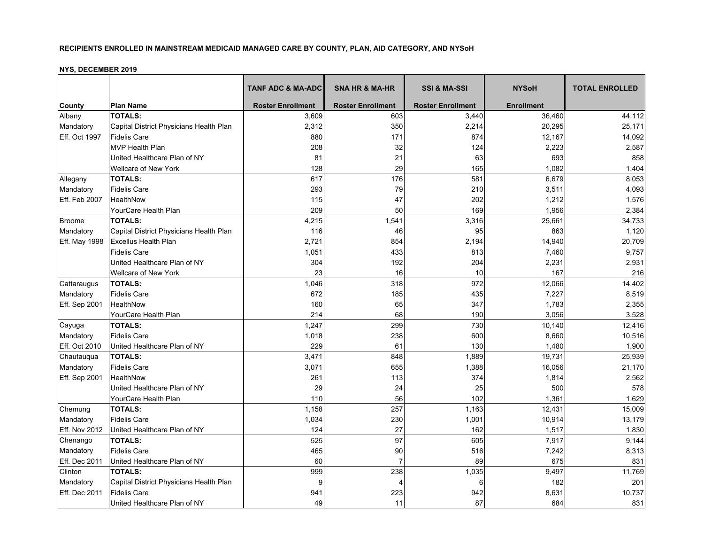|                      |                                         | <b>TANF ADC &amp; MA-ADC</b> | <b>SNA HR &amp; MA-HR</b> | <b>SSI &amp; MA-SSI</b>  | <b>NYSoH</b>      | <b>TOTAL ENROLLED</b> |
|----------------------|-----------------------------------------|------------------------------|---------------------------|--------------------------|-------------------|-----------------------|
| <b>County</b>        | <b>Plan Name</b>                        | <b>Roster Enrollment</b>     | <b>Roster Enrollment</b>  | <b>Roster Enrollment</b> | <b>Enrollment</b> |                       |
| Albany               | <b>TOTALS:</b>                          | 3,609                        | 603                       | 3,440                    | 36,460            | 44,112                |
| Mandatory            | Capital District Physicians Health Plan | 2,312                        | 350                       | 2,214                    | 20,295            | 25,171                |
| Eff. Oct 1997        | <b>Fidelis Care</b>                     | 880                          | 171                       | 874                      | 12,167            | 14,092                |
|                      | <b>MVP Health Plan</b>                  | 208                          | 32                        | 124                      | 2,223             | 2,587                 |
|                      | United Healthcare Plan of NY            | 81                           | 21                        | 63                       | 693               | 858                   |
|                      | Wellcare of New York                    | 128                          | 29                        | 165                      | 1,082             | 1,404                 |
| Allegany             | <b>TOTALS:</b>                          | 617                          | 176                       | 581                      | 6,679             | 8,053                 |
| Mandatory            | <b>Fidelis Care</b>                     | 293                          | 79                        | 210                      | 3,511             | 4,093                 |
| Eff. Feb 2007        | HealthNow                               | 115                          | 47                        | 202                      | 1,212             | 1,576                 |
|                      | YourCare Health Plan                    | 209                          | 50                        | 169                      | 1,956             | 2,384                 |
| <b>Broome</b>        | <b>TOTALS:</b>                          | 4,215                        | 1,541                     | 3,316                    | 25,661            | 34,733                |
| Mandatory            | Capital District Physicians Health Plan | 116                          | 46                        | 95                       | 863               | 1,120                 |
| Eff. May 1998        | <b>Excellus Health Plan</b>             | 2,721                        | 854                       | 2,194                    | 14,940            | 20,709                |
|                      | <b>Fidelis Care</b>                     | 1,051                        | 433                       | 813                      | 7,460             | 9,757                 |
|                      | United Healthcare Plan of NY            | 304                          | 192                       | 204                      | 2,231             | 2,931                 |
|                      | Wellcare of New York                    | 23                           | 16                        | 10                       | 167               | 216                   |
| Cattaraugus          | <b>TOTALS:</b>                          | 1,046                        | 318                       | 972                      | 12,066            | 14,402                |
| Mandatory            | <b>Fidelis Care</b>                     | 672                          | 185                       | 435                      | 7,227             | 8,519                 |
| Eff. Sep 2001        | HealthNow                               | 160                          | 65                        | 347                      | 1,783             | 2,355                 |
|                      | YourCare Health Plan                    | 214                          | 68                        | 190                      | 3,056             | 3,528                 |
| Cayuga               | <b>TOTALS:</b>                          | 1,247                        | 299                       | 730                      | 10,140            | 12,416                |
| Mandatory            | <b>Fidelis Care</b>                     | 1,018                        | 238                       | 600                      | 8,660             | 10,516                |
| Eff. Oct 2010        | United Healthcare Plan of NY            | 229                          | 61                        | 130                      | 1,480             | 1,900                 |
| Chautauqua           | <b>TOTALS:</b>                          | 3,471                        | 848                       | 1,889                    | 19,731            | 25,939                |
| Mandatory            | <b>Fidelis Care</b>                     | 3,071                        | 655                       | 1,388                    | 16,056            | 21,170                |
| Eff. Sep 2001        | HealthNow                               | 261                          | 113                       | 374                      | 1,814             | 2,562                 |
|                      | United Healthcare Plan of NY            | 29                           | 24                        | 25                       | 500               | 578                   |
|                      | YourCare Health Plan                    | 110                          | 56                        | 102                      | 1,361             | 1,629                 |
| Chemung              | <b>TOTALS:</b>                          | 1,158                        | 257                       | 1,163                    | 12,431            | 15,009                |
| Mandatory            | <b>Fidelis Care</b>                     | 1,034                        | 230                       | 1,001                    | 10,914            | 13,179                |
| <b>Eff. Nov 2012</b> | United Healthcare Plan of NY            | 124                          | 27                        | 162                      | 1,517             | 1,830                 |
| Chenango             | <b>TOTALS:</b>                          | 525                          | 97                        | 605                      | 7,917             | 9,144                 |
| Mandatory            | <b>Fidelis Care</b>                     | 465                          | 90                        | 516                      | 7,242             | 8,313                 |
| Eff. Dec 2011        | United Healthcare Plan of NY            | 60                           | $\overline{7}$            | 89                       | 675               | 831                   |
| Clinton              | <b>TOTALS:</b>                          | 999                          | 238                       | 1,035                    | 9,497             | 11,769                |
| Mandatory            | Capital District Physicians Health Plan | 9                            | $\overline{\mathcal{L}}$  | 6                        | 182               | 201                   |
| <b>Eff. Dec 2011</b> | <b>Fidelis Care</b>                     | 941                          | 223                       | 942                      | 8,631             | 10,737                |
|                      | United Healthcare Plan of NY            | 49                           | 11                        | 87                       | 684               | 831                   |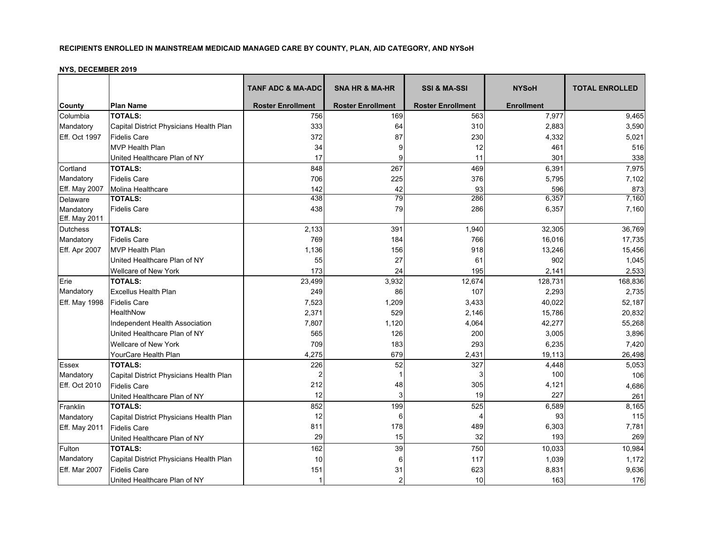|                      |                                         | <b>TANF ADC &amp; MA-ADC</b> | <b>SNA HR &amp; MA-HR</b> | <b>SSI &amp; MA-SSI</b>  | <b>NYSoH</b>      | <b>TOTAL ENROLLED</b> |
|----------------------|-----------------------------------------|------------------------------|---------------------------|--------------------------|-------------------|-----------------------|
| County               | <b>Plan Name</b>                        | <b>Roster Enrollment</b>     | <b>Roster Enrollment</b>  | <b>Roster Enrollment</b> | <b>Enrollment</b> |                       |
| Columbia             | <b>TOTALS:</b>                          | 756                          | 169                       | 563                      | 7,977             | 9,465                 |
| Mandatory            | Capital District Physicians Health Plan | 333                          | 64                        | 310                      | 2,883             | 3,590                 |
| Eff. Oct 1997        | <b>Fidelis Care</b>                     | 372                          | 87                        | 230                      | 4,332             | 5,021                 |
|                      | <b>MVP Health Plan</b>                  | 34                           |                           | 12                       | 461               | 516                   |
|                      | United Healthcare Plan of NY            | 17                           |                           | 11                       | 301               | 338                   |
| Cortland             | <b>TOTALS:</b>                          | 848                          | 267                       | 469                      | 6,391             | 7,975                 |
| Mandatory            | <b>Fidelis Care</b>                     | 706                          | 225                       | 376                      | 5,795             | 7,102                 |
| Eff. May 2007        | Molina Healthcare                       | 142                          | 42                        | 93                       | 596               | 873                   |
| Delaware             | <b>TOTALS:</b>                          | 438                          | 79                        | 286                      | 6,357             | 7,160                 |
| Mandatory            | <b>Fidelis Care</b>                     | 438                          | 79                        | 286                      | 6,357             | 7,160                 |
| <b>Eff. May 2011</b> |                                         |                              |                           |                          |                   |                       |
| <b>Dutchess</b>      | <b>TOTALS:</b>                          | 2,133                        | 391                       | 1,940                    | 32,305            | 36,769                |
| Mandatory            | <b>Fidelis Care</b>                     | 769                          | 184                       | 766                      | 16,016            | 17,735                |
| Eff. Apr 2007        | <b>MVP Health Plan</b>                  | 1,136                        | 156                       | 918                      | 13,246            | 15,456                |
|                      | United Healthcare Plan of NY            | 55                           | 27                        | 61                       | 902               | 1,045                 |
|                      | Wellcare of New York                    | 173                          | 24                        | 195                      | 2,141             | 2,533                 |
| Erie                 | <b>TOTALS:</b>                          | 23,499                       | 3,932                     | 12,674                   | 128,731           | 168,836               |
| Mandatory            | <b>Excellus Health Plan</b>             | 249                          | 86                        | 107                      | 2,293             | 2,735                 |
| <b>Eff. May 1998</b> | <b>Fidelis Care</b>                     | 7,523                        | 1,209                     | 3,433                    | 40,022            | 52,187                |
|                      | HealthNow                               | 2,371                        | 529                       | 2,146                    | 15,786            | 20,832                |
|                      | Independent Health Association          | 7,807                        | 1,120                     | 4,064                    | 42,277            | 55,268                |
|                      | United Healthcare Plan of NY            | 565                          | 126                       | 200                      | 3,005             | 3,896                 |
|                      | Wellcare of New York                    | 709                          | 183                       | 293                      | 6,235             | 7,420                 |
|                      | YourCare Health Plan                    | 4,275                        | 679                       | 2,431                    | 19,113            | 26,498                |
| <b>Essex</b>         | <b>TOTALS:</b>                          | 226                          | 52                        | 327                      | 4,448             | 5,053                 |
| Mandatory            | Capital District Physicians Health Plan | $\overline{2}$               |                           | 3                        | 100               | 106                   |
| Eff. Oct 2010        | <b>Fidelis Care</b>                     | 212                          | 48                        | 305                      | 4,121             | 4,686                 |
|                      | United Healthcare Plan of NY            | 12                           | 3                         | 19                       | 227               | 261                   |
| Franklin             | <b>TOTALS:</b>                          | 852                          | 199                       | 525                      | 6,589             | 8,165                 |
| Mandatory            | Capital District Physicians Health Plan | 12                           | 6                         | 4                        | 93                | 115                   |
| <b>Eff. May 2011</b> | <b>Fidelis Care</b>                     | 811                          | 178                       | 489                      | 6,303             | 7,781                 |
|                      | United Healthcare Plan of NY            | 29                           | 15                        | 32                       | 193               | 269                   |
| Fulton               | <b>TOTALS:</b>                          | 162                          | 39                        | 750                      | 10,033            | 10,984                |
| Mandatory            | Capital District Physicians Health Plan | 10                           | 6                         | 117                      | 1,039             | 1,172                 |
| <b>Eff. Mar 2007</b> | <b>Fidelis Care</b>                     | 151                          | 31                        | 623                      | 8,831             | 9,636                 |
|                      | United Healthcare Plan of NY            | $\mathbf{1}$                 | $\overline{2}$            | 10                       | 163               | 176                   |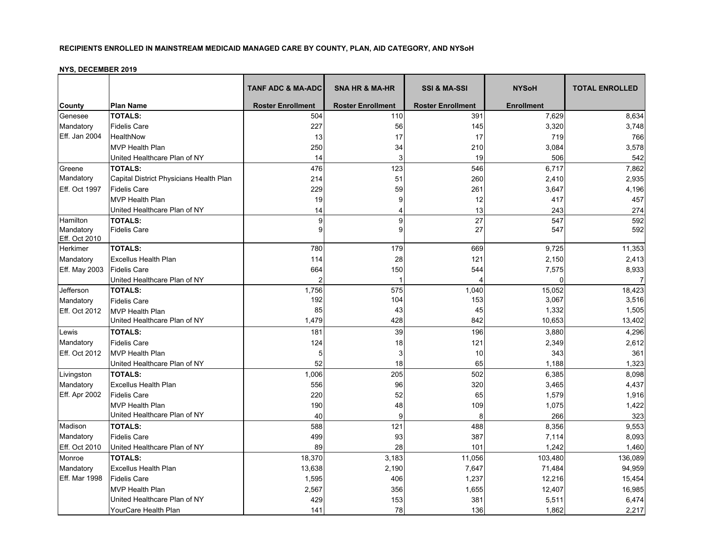|                            |                                         | <b>TANF ADC &amp; MA-ADC</b> | <b>SNA HR &amp; MA-HR</b> | <b>SSI &amp; MA-SSI</b>  | <b>NYSoH</b>      | <b>TOTAL ENROLLED</b> |
|----------------------------|-----------------------------------------|------------------------------|---------------------------|--------------------------|-------------------|-----------------------|
| County                     | <b>Plan Name</b>                        | <b>Roster Enrollment</b>     | <b>Roster Enrollment</b>  | <b>Roster Enrollment</b> | <b>Enrollment</b> |                       |
| Genesee                    | <b>TOTALS:</b>                          | 504                          | 110                       | 391                      | 7,629             | 8,634                 |
| Mandatory                  | <b>Fidelis Care</b>                     | 227                          | 56                        | 145                      | 3,320             | 3,748                 |
| Eff. Jan 2004              | HealthNow                               | 13                           | 17                        | 17                       | 719               | 766                   |
|                            | <b>MVP Health Plan</b>                  | 250                          | 34                        | 210                      | 3,084             | 3,578                 |
|                            | United Healthcare Plan of NY            | 14                           | 3                         | 19                       | 506               | 542                   |
| Greene                     | <b>TOTALS:</b>                          | 476                          | 123                       | 546                      | 6,717             | 7,862                 |
| Mandatory                  | Capital District Physicians Health Plan | 214                          | 51                        | 260                      | 2,410             | 2,935                 |
| Eff. Oct 1997              | <b>Fidelis Care</b>                     | 229                          | 59                        | 261                      | 3,647             | 4,196                 |
|                            | <b>MVP Health Plan</b>                  | 19                           | 9                         | 12                       | 417               | 457                   |
|                            | United Healthcare Plan of NY            | 14                           |                           | 13                       | 243               | 274                   |
| Hamilton                   | <b>TOTALS:</b>                          | 9                            | 9                         | 27                       | 547               | 592                   |
| Mandatory<br>Eff. Oct 2010 | <b>Fidelis Care</b>                     | 9                            | 9                         | 27                       | 547               | 592                   |
| Herkimer                   | <b>TOTALS:</b>                          | 780                          | 179                       | 669                      | 9,725             | 11,353                |
| Mandatory                  | <b>Excellus Health Plan</b>             | 114                          | 28                        | 121                      | 2,150             | 2,413                 |
| Eff. May 2003              | <b>Fidelis Care</b>                     | 664                          | 150                       | 544                      | 7,575             | 8,933                 |
|                            | United Healthcare Plan of NY            | $\overline{2}$               | -1                        |                          | $\Omega$          | $\overline{7}$        |
| Jefferson                  | <b>TOTALS:</b>                          | 1,756                        | 575                       | 1,040                    | 15,052            | 18,423                |
| Mandatory                  | <b>Fidelis Care</b>                     | 192                          | 104                       | 153                      | 3,067             | 3,516                 |
| Eff. Oct 2012              | <b>MVP Health Plan</b>                  | 85                           | 43                        | 45                       | 1,332             | 1,505                 |
|                            | United Healthcare Plan of NY            | 1,479                        | 428                       | 842                      | 10,653            | 13,402                |
| Lewis                      | <b>TOTALS:</b>                          | 181                          | 39                        | 196                      | 3,880             | 4,296                 |
| Mandatory                  | <b>Fidelis Care</b>                     | 124                          | 18                        | 121                      | 2,349             | 2,612                 |
| Eff. Oct 2012              | <b>MVP Health Plan</b>                  | 5                            | 3                         | 10                       | 343               | 361                   |
|                            | United Healthcare Plan of NY            | 52                           | 18                        | 65                       | 1,188             | 1,323                 |
| Livingston                 | <b>TOTALS:</b>                          | 1,006                        | 205                       | 502                      | 6,385             | 8,098                 |
| Mandatory                  | <b>Excellus Health Plan</b>             | 556                          | 96                        | 320                      | 3,465             | 4,437                 |
| Eff. Apr 2002              | <b>Fidelis Care</b>                     | 220                          | 52                        | 65                       | 1,579             | 1,916                 |
|                            | <b>MVP Health Plan</b>                  | 190                          | 48                        | 109                      | 1,075             | 1,422                 |
|                            | United Healthcare Plan of NY            | 40                           | 9                         | 8                        | 266               | 323                   |
| Madison                    | <b>TOTALS:</b>                          | 588                          | 121                       | 488                      | 8,356             | 9,553                 |
| Mandatory                  | <b>Fidelis Care</b>                     | 499                          | 93                        | 387                      | 7,114             | 8,093                 |
| Eff. Oct 2010              | United Healthcare Plan of NY            | 89                           | 28                        | 101                      | 1,242             | 1,460                 |
| Monroe                     | <b>TOTALS:</b>                          | 18,370                       | 3,183                     | 11,056                   | 103,480           | 136,089               |
| Mandatory                  | <b>Excellus Health Plan</b>             | 13,638                       | 2,190                     | 7,647                    | 71,484            | 94,959                |
| Eff. Mar 1998              | <b>Fidelis Care</b>                     | 1,595                        | 406                       | 1,237                    | 12,216            | 15,454                |
|                            | <b>MVP Health Plan</b>                  | 2,567                        | 356                       | 1,655                    | 12,407            | 16,985                |
|                            | United Healthcare Plan of NY            | 429                          | 153                       | 381                      | 5,511             | 6,474                 |
|                            | YourCare Health Plan                    | 141                          | 78                        | 136                      | 1,862             | 2,217                 |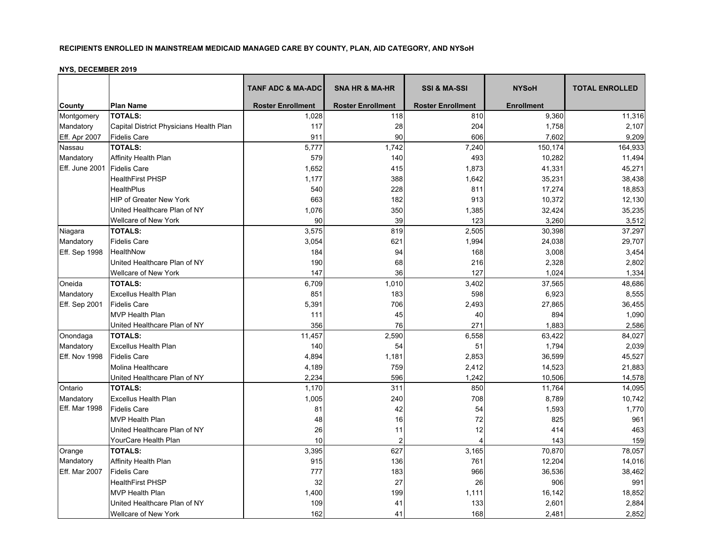| NTS, DEUEMBER 2019   |                                         |                              |                           |                          |                   |                       |
|----------------------|-----------------------------------------|------------------------------|---------------------------|--------------------------|-------------------|-----------------------|
|                      |                                         | <b>TANF ADC &amp; MA-ADC</b> | <b>SNA HR &amp; MA-HR</b> | <b>SSI &amp; MA-SSI</b>  | <b>NYSoH</b>      | <b>TOTAL ENROLLED</b> |
| County               | <b>Plan Name</b>                        | <b>Roster Enrollment</b>     | <b>Roster Enrollment</b>  | <b>Roster Enrollment</b> | <b>Enrollment</b> |                       |
| Montgomery           | <b>TOTALS:</b>                          | 1,028                        | 118                       | 810                      | 9,360             | 11,316                |
| Mandatory            | Capital District Physicians Health Plan | 117                          | 28                        | 204                      | 1,758             | 2,107                 |
| Eff. Apr 2007        | <b>Fidelis Care</b>                     | 911                          | 90                        | 606                      | 7,602             | 9,209                 |
| Nassau               | <b>TOTALS:</b>                          | 5,777                        | 1,742                     | 7,240                    | 150,174           | 164,933               |
| Mandatory            | <b>Affinity Health Plan</b>             | 579                          | 140                       | 493                      | 10,282            | 11,494                |
| Eff. June 2001       | <b>Fidelis Care</b>                     | 1,652                        | 415                       | 1,873                    | 41,331            | 45,271                |
|                      | <b>HealthFirst PHSP</b>                 | 1,177                        | 388                       | 1,642                    | 35,231            | 38,438                |
|                      | <b>HealthPlus</b>                       | 540                          | 228                       | 811                      | 17,274            | 18,853                |
|                      | <b>HIP of Greater New York</b>          | 663                          | 182                       | 913                      | 10,372            | 12,130                |
|                      | United Healthcare Plan of NY            | 1,076                        | 350                       | 1,385                    | 32,424            | 35,235                |
|                      | <b>Wellcare of New York</b>             | 90                           | 39                        | 123                      | 3,260             | 3,512                 |
| Niagara              | <b>TOTALS:</b>                          | 3,575                        | 819                       | 2,505                    | 30,398            | 37,297                |
| Mandatory            | <b>Fidelis Care</b>                     | 3,054                        | 621                       | 1,994                    | 24,038            | 29,707                |
| Eff. Sep 1998        | HealthNow                               | 184                          | 94                        | 168                      | 3,008             | 3,454                 |
|                      | United Healthcare Plan of NY            | 190                          | 68                        | 216                      | 2,328             | 2,802                 |
|                      | Wellcare of New York                    | 147                          | 36                        | 127                      | 1,024             | 1,334                 |
| Oneida               | <b>TOTALS:</b>                          | 6,709                        | 1,010                     | 3,402                    | 37,565            | 48,686                |
| Mandatory            | <b>Excellus Health Plan</b>             | 851                          | 183                       | 598                      | 6,923             | 8,555                 |
| Eff. Sep 2001        | <b>Fidelis Care</b>                     | 5,391                        | 706                       | 2,493                    | 27,865            | 36,455                |
|                      | <b>MVP Health Plan</b>                  | 111                          | 45                        | 40                       | 894               | 1,090                 |
|                      | United Healthcare Plan of NY            | 356                          | 76                        | 271                      | 1,883             | 2,586                 |
| Onondaga             | <b>TOTALS:</b>                          | 11,457                       | 2,590                     | 6,558                    | 63,422            | 84,027                |
| Mandatory            | <b>Excellus Health Plan</b>             | 140                          | 54                        | 51                       | 1,794             | 2,039                 |
| <b>Eff. Nov 1998</b> | <b>Fidelis Care</b>                     | 4,894                        | 1,181                     | 2,853                    | 36,599            | 45,527                |
|                      | Molina Healthcare                       | 4,189                        | 759                       | 2,412                    | 14,523            | 21,883                |
|                      | United Healthcare Plan of NY            | 2,234                        | 596                       | 1,242                    | 10,506            | 14,578                |
| Ontario              | <b>TOTALS:</b>                          | 1,170                        | 311                       | 850                      | 11,764            | 14,095                |
| Mandatory            | <b>Excellus Health Plan</b>             | 1,005                        | 240                       | 708                      | 8,789             | 10,742                |
| Eff. Mar 1998        | <b>Fidelis Care</b>                     | 81                           | 42                        | 54                       | 1,593             | 1,770                 |
|                      | <b>MVP Health Plan</b>                  | 48                           | 16                        | 72                       | 825               | 961                   |
|                      | United Healthcare Plan of NY            | 26                           | 11                        | 12                       | 414               | 463                   |
|                      | YourCare Health Plan                    | 10                           | $\overline{2}$            |                          | 143               | 159                   |
| Orange               | <b>TOTALS:</b>                          | 3,395                        | 627                       | 3,165                    | 70,870            | 78,057                |
| Mandatory            | Affinity Health Plan                    | 915                          | 136                       | 761                      | 12,204            | 14,016                |
| <b>Eff. Mar 2007</b> | <b>Fidelis Care</b>                     | 777                          | 183                       | 966                      | 36,536            | 38,462                |
|                      | <b>HealthFirst PHSP</b>                 | 32                           | 27                        | 26                       | 906               | 991                   |
|                      | <b>MVP Health Plan</b>                  | 1,400                        | 199                       | 1,111                    | 16,142            | 18,852                |
|                      | United Healthcare Plan of NY            | 109                          | 41                        | 133                      | 2,601             | 2,884                 |
|                      | Wellcare of New York                    | 162                          | 41                        | 168                      | 2,481             | 2,852                 |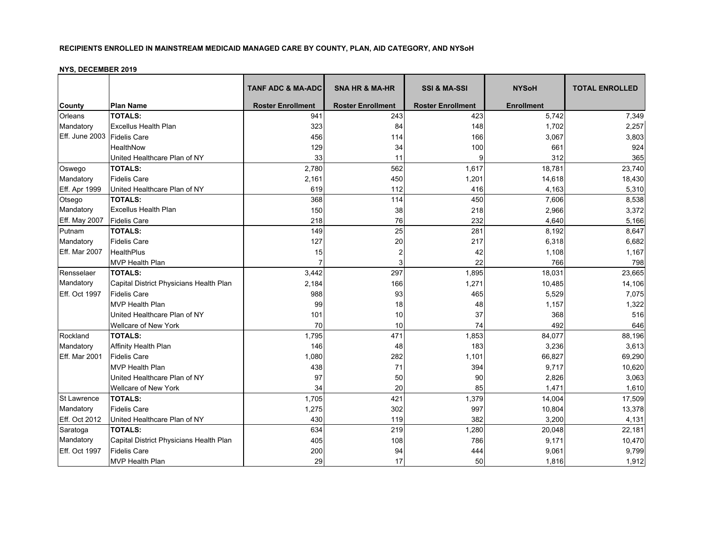|                             |                                         | <b>TANF ADC &amp; MA-ADC</b> | <b>SNA HR &amp; MA-HR</b> | <b>SSI &amp; MA-SSI</b>  | <b>NYSoH</b>      | <b>TOTAL ENROLLED</b> |
|-----------------------------|-----------------------------------------|------------------------------|---------------------------|--------------------------|-------------------|-----------------------|
| <b>County</b>               | <b>Plan Name</b>                        | <b>Roster Enrollment</b>     | <b>Roster Enrollment</b>  | <b>Roster Enrollment</b> | <b>Enrollment</b> |                       |
| <b>Orleans</b>              | <b>TOTALS:</b>                          | 941                          | 243                       | 423                      | 5,742             | 7,349                 |
| Mandatory                   | <b>Excellus Health Plan</b>             | 323                          | 84                        | 148                      | 1,702             | 2,257                 |
| Eff. June 2003 Fidelis Care |                                         | 456                          | 114                       | 166                      | 3,067             | 3,803                 |
|                             | HealthNow                               | 129                          | 34                        | 100                      | 661               | 924                   |
|                             | United Healthcare Plan of NY            | 33                           | 11                        | 9                        | 312               | 365                   |
| Oswego                      | <b>TOTALS:</b>                          | 2,780                        | 562                       | 1,617                    | 18,781            | 23,740                |
| Mandatory                   | <b>Fidelis Care</b>                     | 2,161                        | 450                       | 1,201                    | 14,618            | 18,430                |
| Eff. Apr 1999               | United Healthcare Plan of NY            | 619                          | 112                       | 416                      | 4,163             | 5,310                 |
| Otsego                      | <b>TOTALS:</b>                          | 368                          | 114                       | 450                      | 7,606             | 8,538                 |
| Mandatory                   | <b>Excellus Health Plan</b>             | 150                          | 38                        | 218                      | 2,966             | 3,372                 |
| <b>Eff. May 2007</b>        | <b>Fidelis Care</b>                     | 218                          | 76                        | 232                      | 4,640             | 5,166                 |
| Putnam                      | <b>TOTALS:</b>                          | 149                          | 25                        | 281                      | 8,192             | 8,647                 |
| Mandatory                   | <b>Fidelis Care</b>                     | 127                          | 20                        | 217                      | 6,318             | 6,682                 |
| Eff. Mar 2007               | HealthPlus                              | 15                           | $\overline{2}$            | 42                       | 1,108             | 1,167                 |
|                             | <b>MVP Health Plan</b>                  | 7                            | 3                         | 22                       | 766               | 798                   |
| Rensselaer                  | <b>TOTALS:</b>                          | 3,442                        | 297                       | 1,895                    | 18,031            | 23,665                |
| Mandatory                   | Capital District Physicians Health Plan | 2,184                        | 166                       | 1,271                    | 10,485            | 14,106                |
| Eff. Oct 1997               | <b>Fidelis Care</b>                     | 988                          | 93                        | 465                      | 5,529             | 7,075                 |
|                             | <b>MVP Health Plan</b>                  | 99                           | 18                        | 48                       | 1,157             | 1,322                 |
|                             | United Healthcare Plan of NY            | 101                          | 10                        | 37                       | 368               | 516                   |
|                             | Wellcare of New York                    | 70                           | 10                        | 74                       | 492               | 646                   |
| Rockland                    | <b>TOTALS:</b>                          | 1,795                        | 471                       | 1,853                    | 84,077            | 88,196                |
| Mandatory                   | Affinity Health Plan                    | 146                          | 48                        | 183                      | 3,236             | 3,613                 |
| Eff. Mar 2001               | <b>Fidelis Care</b>                     | 1,080                        | 282                       | 1,101                    | 66,827            | 69,290                |
|                             | <b>MVP Health Plan</b>                  | 438                          | 71                        | 394                      | 9,717             | 10,620                |
|                             | United Healthcare Plan of NY            | 97                           | 50                        | 90                       | 2,826             | 3,063                 |
|                             | Wellcare of New York                    | 34                           | 20                        | 85                       | 1,471             | 1,610                 |
| <b>St Lawrence</b>          | <b>TOTALS:</b>                          | 1,705                        | 421                       | 1,379                    | 14,004            | 17,509                |
| Mandatory                   | <b>Fidelis Care</b>                     | 1,275                        | 302                       | 997                      | 10,804            | 13,378                |
| Eff. Oct 2012               | United Healthcare Plan of NY            | 430                          | 119                       | 382                      | 3,200             | 4,131                 |
| Saratoga                    | <b>TOTALS:</b>                          | 634                          | 219                       | 1,280                    | 20,048            | 22,181                |
| Mandatory                   | Capital District Physicians Health Plan | 405                          | 108                       | 786                      | 9,171             | 10,470                |
| Eff. Oct 1997               | <b>Fidelis Care</b>                     | 200                          | 94                        | 444                      | 9,061             | 9,799                 |
|                             | <b>MVP Health Plan</b>                  | 29                           | 17                        | 50                       | 1,816             | 1,912                 |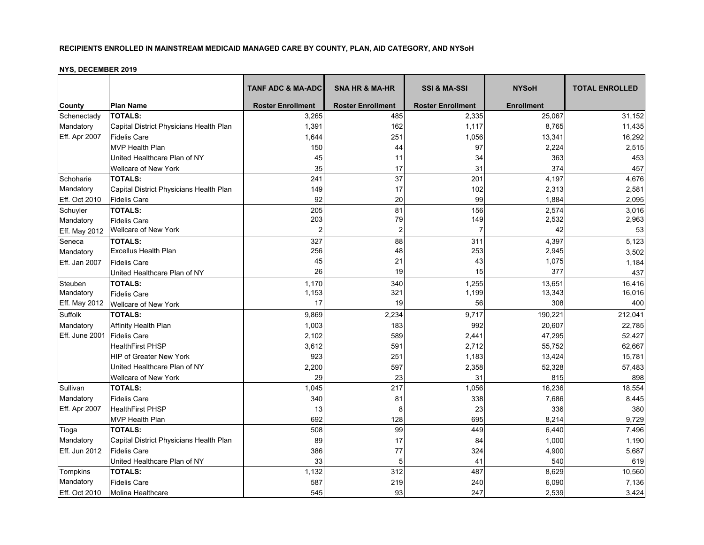|                      |                                         | <b>TANF ADC &amp; MA-ADC</b> | <b>SNA HR &amp; MA-HR</b> | <b>SSI &amp; MA-SSI</b>  | <b>NYSoH</b>      | <b>TOTAL ENROLLED</b> |
|----------------------|-----------------------------------------|------------------------------|---------------------------|--------------------------|-------------------|-----------------------|
| County               | <b>Plan Name</b>                        | <b>Roster Enrollment</b>     | <b>Roster Enrollment</b>  | <b>Roster Enrollment</b> | <b>Enrollment</b> |                       |
| Schenectady          | <b>TOTALS:</b>                          | 3,265                        | 485                       | 2,335                    | 25,067            | 31,152                |
| Mandatory            | Capital District Physicians Health Plan | 1,391                        | 162                       | 1,117                    | 8,765             | 11,435                |
| Eff. Apr 2007        | <b>Fidelis Care</b>                     | 1,644                        | 251                       | 1,056                    | 13,341            | 16,292                |
|                      | <b>MVP Health Plan</b>                  | 150                          | 44                        | 97                       | 2,224             | 2,515                 |
|                      | United Healthcare Plan of NY            | 45                           | 11                        | 34                       | 363               | 453                   |
|                      | Wellcare of New York                    | 35                           | 17                        | 31                       | 374               | 457                   |
| Schoharie            | <b>TOTALS:</b>                          | 241                          | 37                        | 201                      | 4,197             | 4,676                 |
| Mandatory            | Capital District Physicians Health Plan | 149                          | 17                        | 102                      | 2,313             | 2,581                 |
| Eff. Oct 2010        | <b>Fidelis Care</b>                     | 92                           | 20                        | 99                       | 1,884             | 2,095                 |
| Schuyler             | <b>TOTALS:</b>                          | 205                          | 81                        | 156                      | 2,574             | 3,016                 |
| Mandatory            | <b>Fidelis Care</b>                     | 203                          | 79                        | 149                      | 2,532             | 2,963                 |
| <b>Eff. May 2012</b> | <b>Wellcare of New York</b>             | $\overline{2}$               | $\overline{2}$            | 7                        | 42                | 53                    |
| Seneca               | <b>TOTALS:</b>                          | 327                          | 88                        | 311                      | 4,397             | 5,123                 |
| Mandatory            | <b>Excellus Health Plan</b>             | 256                          | 48                        | 253                      | 2,945             | 3,502                 |
| Eff. Jan 2007        | <b>Fidelis Care</b>                     | 45                           | 21                        | 43                       | 1,075             | 1,184                 |
|                      | United Healthcare Plan of NY            | 26                           | 19                        | 15                       | 377               | 437                   |
| Steuben              | <b>TOTALS:</b>                          | 1,170                        | 340                       | 1,255                    | 13,651            | 16,416                |
| Mandatory            | <b>Fidelis Care</b>                     | 1,153                        | 321                       | 1,199                    | 13,343            | 16,016                |
| <b>Eff. May 2012</b> | <b>Wellcare of New York</b>             | 17                           | 19                        | 56                       | 308               | 400                   |
| Suffolk              | <b>TOTALS:</b>                          | 9,869                        | 2,234                     | 9,717                    | 190,221           | 212,041               |
| Mandatory            | Affinity Health Plan                    | 1,003                        | 183                       | 992                      | 20,607            | 22,785                |
| Eff. June 2001       | <b>Fidelis Care</b>                     | 2,102                        | 589                       | 2,441                    | 47,295            | 52,427                |
|                      | <b>HealthFirst PHSP</b>                 | 3,612                        | 591                       | 2,712                    | 55,752            | 62,667                |
|                      | <b>HIP of Greater New York</b>          | 923                          | 251                       | 1,183                    | 13,424            | 15,781                |
|                      | United Healthcare Plan of NY            | 2,200                        | 597                       | 2,358                    | 52,328            | 57,483                |
|                      | Wellcare of New York                    | 29                           | 23                        | 31                       | 815               | 898                   |
| Sullivan             | <b>TOTALS:</b>                          | 1,045                        | 217                       | 1,056                    | 16,236            | 18,554                |
| Mandatory            | <b>Fidelis Care</b>                     | 340                          | 81                        | 338                      | 7,686             | 8,445                 |
| Eff. Apr 2007        | <b>HealthFirst PHSP</b>                 | 13                           | 8                         | 23                       | 336               | 380                   |
|                      | <b>MVP Health Plan</b>                  | 692                          | 128                       | 695                      | 8,214             | 9,729                 |
| Tioga                | <b>TOTALS:</b>                          | 508                          | 99                        | 449                      | 6,440             | 7,496                 |
| Mandatory            | Capital District Physicians Health Plan | 89                           | 17                        | 84                       | 1,000             | 1,190                 |
| Eff. Jun 2012        | <b>Fidelis Care</b>                     | 386                          | 77                        | 324                      | 4,900             | 5,687                 |
|                      | United Healthcare Plan of NY            | 33                           | 5                         | 41                       | 540               | 619                   |
| Tompkins             | <b>TOTALS:</b>                          | 1,132                        | 312                       | 487                      | 8,629             | 10,560                |
| Mandatory            | <b>Fidelis Care</b>                     | 587                          | 219                       | 240                      | 6,090             | 7,136                 |
| Eff. Oct 2010        | Molina Healthcare                       | 545                          | 93                        | 247                      | 2,539             | 3,424                 |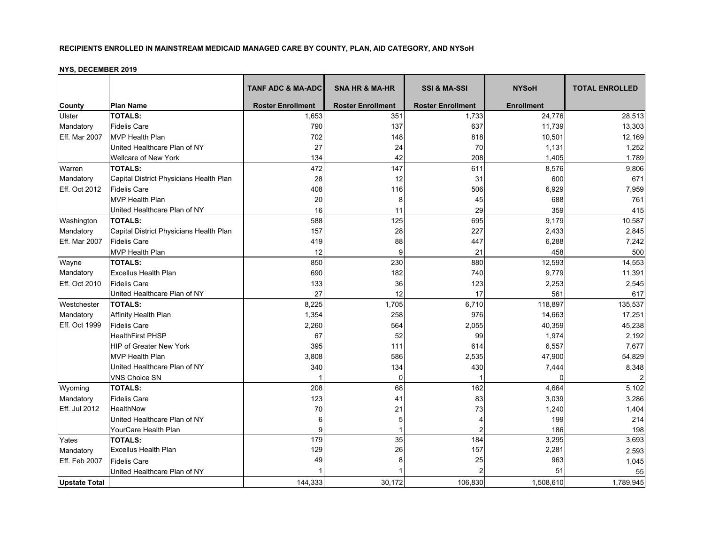|                      |                                         | <b>TANF ADC &amp; MA-ADC</b> | <b>SNA HR &amp; MA-HR</b> | <b>SSI &amp; MA-SSI</b>  | <b>NYSoH</b>      | <b>TOTAL ENROLLED</b> |
|----------------------|-----------------------------------------|------------------------------|---------------------------|--------------------------|-------------------|-----------------------|
| County               | <b>Plan Name</b>                        | <b>Roster Enrollment</b>     | <b>Roster Enrollment</b>  | <b>Roster Enrollment</b> | <b>Enrollment</b> |                       |
| Ulster               | <b>TOTALS:</b>                          | 1,653                        | 351                       | 1,733                    | 24,776            | 28,513                |
| Mandatory            | <b>Fidelis Care</b>                     | 790                          | 137                       | 637                      | 11,739            | 13,303                |
| Eff. Mar 2007        | <b>MVP Health Plan</b>                  | 702                          | 148                       | 818                      | 10,501            | 12,169                |
|                      | United Healthcare Plan of NY            | 27                           | 24                        | 70                       | 1,131             | 1,252                 |
|                      | Wellcare of New York                    | 134                          | 42                        | 208                      | 1,405             | 1,789                 |
| Warren               | <b>TOTALS:</b>                          | 472                          | 147                       | 611                      | 8,576             | 9,806                 |
| Mandatory            | Capital District Physicians Health Plan | 28                           | 12                        | 31                       | 600               | 671                   |
| Eff. Oct 2012        | <b>Fidelis Care</b>                     | 408                          | 116                       | 506                      | 6,929             | 7,959                 |
|                      | <b>MVP Health Plan</b>                  | 20                           | 8                         | 45                       | 688               | 761                   |
|                      | United Healthcare Plan of NY            | 16                           | 11                        | 29                       | 359               | 415                   |
| Washington           | <b>TOTALS:</b>                          | 588                          | 125                       | 695                      | 9,179             | 10,587                |
| Mandatory            | Capital District Physicians Health Plan | 157                          | 28                        | 227                      | 2,433             | 2,845                 |
| <b>Eff. Mar 2007</b> | <b>Fidelis Care</b>                     | 419                          | 88                        | 447                      | 6,288             | 7,242                 |
|                      | <b>MVP Health Plan</b>                  | 12                           | 9                         | 21                       | 458               | 500                   |
| Wayne                | <b>TOTALS:</b>                          | 850                          | 230                       | 880                      | 12,593            | 14,553                |
| Mandatory            | <b>Excellus Health Plan</b>             | 690                          | 182                       | 740                      | 9,779             | 11,391                |
| Eff. Oct 2010        | <b>Fidelis Care</b>                     | 133                          | 36                        | 123                      | 2,253             | 2,545                 |
|                      | United Healthcare Plan of NY            | 27                           | 12                        | 17                       | 561               | 617                   |
| Westchester          | <b>TOTALS:</b>                          | 8,225                        | 1,705                     | 6,710                    | 118,897           | 135,537               |
| Mandatory            | Affinity Health Plan                    | 1,354                        | 258                       | 976                      | 14,663            | 17,251                |
| Eff. Oct 1999        | <b>Fidelis Care</b>                     | 2,260                        | 564                       | 2,055                    | 40,359            | 45,238                |
|                      | <b>HealthFirst PHSP</b>                 | 67                           | 52                        | 99                       | 1,974             | 2,192                 |
|                      | <b>HIP of Greater New York</b>          | 395                          | 111                       | 614                      | 6,557             | 7,677                 |
|                      | <b>MVP Health Plan</b>                  | 3,808                        | 586                       | 2,535                    | 47,900            | 54,829                |
|                      | United Healthcare Plan of NY            | 340                          | 134                       | 430                      | 7,444             | 8,348                 |
|                      | <b>VNS Choice SN</b>                    |                              | $\Omega$                  |                          | $\mathbf{0}$      | $\overline{2}$        |
| Wyoming              | <b>TOTALS:</b>                          | 208                          | 68                        | 162                      | 4,664             | 5,102                 |
| Mandatory            | <b>Fidelis Care</b>                     | 123                          | 41                        | 83                       | 3,039             | 3,286                 |
| Eff. Jul 2012        | HealthNow                               | 70                           | 21                        | 73                       | 1,240             | 1,404                 |
|                      | United Healthcare Plan of NY            | 6                            | 5                         | 4                        | 199               | 214                   |
|                      | YourCare Health Plan                    |                              |                           |                          | 186               | 198                   |
| Yates                | <b>TOTALS:</b>                          | 179                          | 35                        | 184                      | 3,295             | 3,693                 |
| Mandatory            | <b>Excellus Health Plan</b>             | 129                          | 26                        | 157                      | 2,281             | 2,593                 |
| Eff. Feb 2007        | <b>Fidelis Care</b>                     | 49                           |                           | 25                       | 963               | 1,045                 |
|                      | United Healthcare Plan of NY            |                              |                           |                          | 51                | 55                    |
| <b>Upstate Total</b> |                                         | 144,333                      | 30,172                    | 106,830                  | 1,508,610         | 1,789,945             |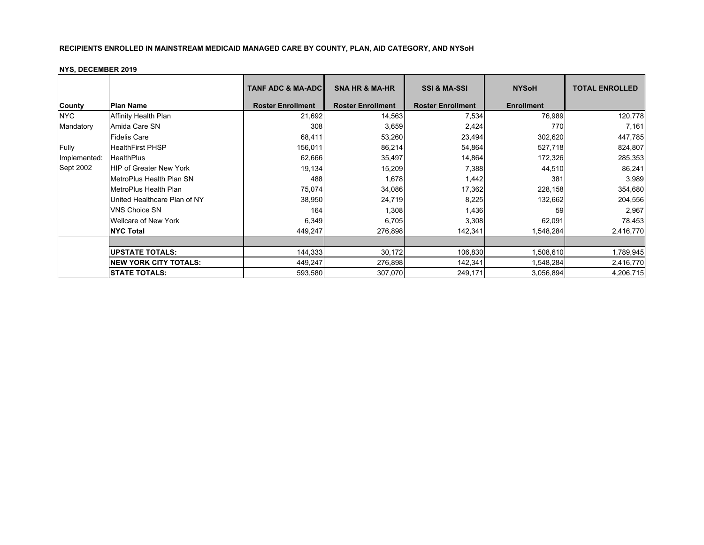| NTS, DECEMBER 2019 |                                |                              |                           |                          |                   |                       |
|--------------------|--------------------------------|------------------------------|---------------------------|--------------------------|-------------------|-----------------------|
|                    |                                | <b>TANF ADC &amp; MA-ADC</b> | <b>SNA HR &amp; MA-HR</b> | <b>SSI &amp; MA-SSI</b>  | <b>NYSoH</b>      | <b>TOTAL ENROLLED</b> |
| County             | <b>Plan Name</b>               | <b>Roster Enrollment</b>     | <b>Roster Enrollment</b>  | <b>Roster Enrollment</b> | <b>Enrollment</b> |                       |
| <b>NYC</b>         | Affinity Health Plan           | 21,692                       | 14,563                    | 7,534                    | 76,989            | 120,778               |
| Mandatory          | Amida Care SN                  | 308                          | 3,659                     | 2,424                    | 770               | 7,161                 |
|                    | <b>Fidelis Care</b>            | 68,411                       | 53,260                    | 23,494                   | 302,620           | 447,785               |
| Fully              | <b>HealthFirst PHSP</b>        | 156,011                      | 86,214                    | 54,864                   | 527,718           | 824,807               |
| Implemented:       | HealthPlus                     | 62,666                       | 35,497                    | 14,864                   | 172,326           | 285,353               |
| Sept 2002          | <b>HIP of Greater New York</b> | 19,134                       | 15,209                    | 7,388                    | 44,510            | 86,241                |
|                    | MetroPlus Health Plan SN       | 488                          | 1,678                     | 1,442                    | 381               | 3,989                 |
|                    | MetroPlus Health Plan          | 75,074                       | 34,086                    | 17,362                   | 228,158           | 354,680               |
|                    | United Healthcare Plan of NY   | 38,950                       | 24,719                    | 8,225                    | 132,662           | 204,556               |
|                    | <b>VNS Choice SN</b>           | 164                          | 1,308                     | 1,436                    | 59                | 2,967                 |
|                    | Wellcare of New York           | 6,349                        | 6,705                     | 3,308                    | 62,091            | 78,453                |
|                    | <b>NYC Total</b>               | 449,247                      | 276,898                   | 142,341                  | 1,548,284         | 2,416,770             |
|                    |                                |                              |                           |                          |                   |                       |
|                    | <b>UPSTATE TOTALS:</b>         | 144,333                      | 30,172                    | 106,830                  | 1,508,610         | 1,789,945             |
|                    | <b>INEW YORK CITY TOTALS:</b>  | 449,247                      | 276,898                   | 142,341                  | 1,548,284         | 2,416,770             |
|                    | <b>STATE TOTALS:</b>           | 593,580                      | 307,070                   | 249,171                  | 3,056,894         | 4,206,715             |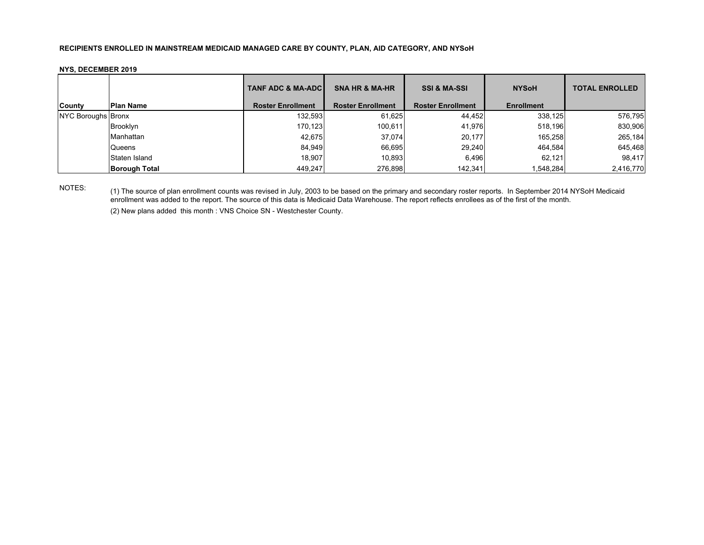#### **NYS, DECEMBER 2019**

| <b>County</b>      | <b>Plan Name</b>     | <b>TANF ADC &amp; MA-ADCI</b><br><b>Roster Enrollment</b> | <b>SNA HR &amp; MA-HR</b><br><b>Roster Enrollment</b> | <b>SSI &amp; MA-SSI</b><br><b>Roster Enrollment</b> | <b>NYSoH</b><br><b>Enrollment</b> | <b>TOTAL ENROLLED</b> |
|--------------------|----------------------|-----------------------------------------------------------|-------------------------------------------------------|-----------------------------------------------------|-----------------------------------|-----------------------|
|                    |                      |                                                           |                                                       |                                                     |                                   |                       |
| NYC Boroughs Bronx |                      | 132,593                                                   | 61.625                                                | 44.452                                              | 338,125                           | 576,795               |
|                    | <b>Brooklyn</b>      | 170.123                                                   | 100,611                                               | 41.976                                              | 518,196                           | 830,906               |
|                    | Manhattan            | 42,675                                                    | 37,074                                                | 20,177                                              | 165,258                           | 265,184               |
|                    | Queens               | 84.949                                                    | 66.695                                                | 29,240                                              | 464,584                           | 645,468               |
|                    | Staten Island        | 18.907                                                    | 10,893                                                | 6,496                                               | 62.121                            | 98,417                |
|                    | <b>Borough Total</b> | 449,247                                                   | 276,898                                               | 142,341                                             | 1,548,284                         | 2,416,770             |

NOTES:

(2) New plans added this month : VNS Choice SN - Westchester County.(1) The source of plan enrollment counts was revised in July, 2003 to be based on the primary and secondary roster reports. In September 2014 NYSoH Medicaid enrollment was added to the report. The source of this data is Medicaid Data Warehouse. The report reflects enrollees as of the first of the month.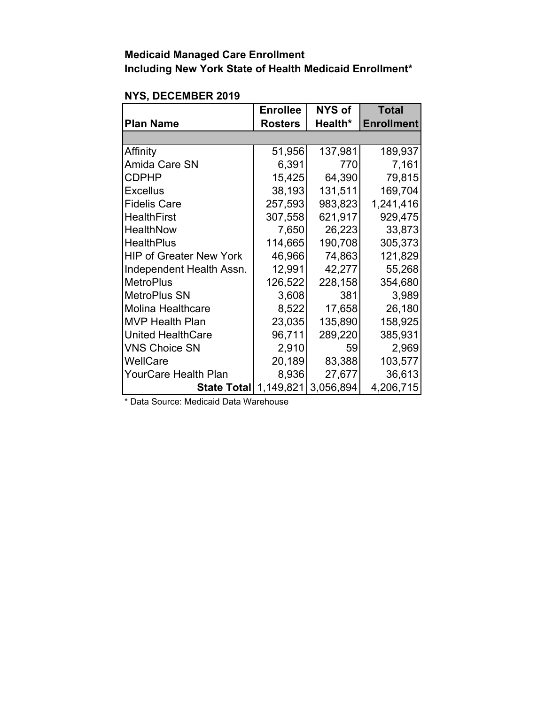# **Medicaid Managed Care Enrollment Including New York State of Health Medicaid Enrollment\***

|                                | <b>Enrollee</b> | NYS of    | <b>Total</b>      |
|--------------------------------|-----------------|-----------|-------------------|
| <b>Plan Name</b>               | <b>Rosters</b>  | Health*   | <b>Enrollment</b> |
|                                |                 |           |                   |
| Affinity                       | 51,956          | 137,981   | 189,937           |
| <b>Amida Care SN</b>           | 6,391           | 770       | 7,161             |
| <b>CDPHP</b>                   | 15,425          | 64,390    | 79,815            |
| <b>Excellus</b>                | 38,193          | 131,511   | 169,704           |
| <b>Fidelis Care</b>            | 257,593         | 983,823   | 1,241,416         |
| <b>HealthFirst</b>             | 307,558         | 621,917   | 929,475           |
| <b>HealthNow</b>               | 7,650           | 26,223    | 33,873            |
| <b>HealthPlus</b>              | 114,665         | 190,708   | 305,373           |
| <b>HIP of Greater New York</b> | 46,966          | 74,863    | 121,829           |
| Independent Health Assn.       | 12,991          | 42,277    | 55,268            |
| <b>MetroPlus</b>               | 126,522         | 228,158   | 354,680           |
| <b>MetroPlus SN</b>            | 3,608           | 381       | 3,989             |
| <b>Molina Healthcare</b>       | 8,522           | 17,658    | 26,180            |
| <b>MVP Health Plan</b>         | 23,035          | 135,890   | 158,925           |
| <b>United HealthCare</b>       | 96,711          | 289,220   | 385,931           |
| <b>VNS Choice SN</b>           | 2,910           | 59        | 2,969             |
| WellCare                       | 20,189          | 83,388    | 103,577           |
| YourCare Health Plan           | 8,936           | 27,677    | 36,613            |
| <b>State Total</b>             | 1,149,821       | 3,056,894 | 4,206,715         |

# **NYS, DECEMBER 2019**

\* Data Source: Medicaid Data Warehouse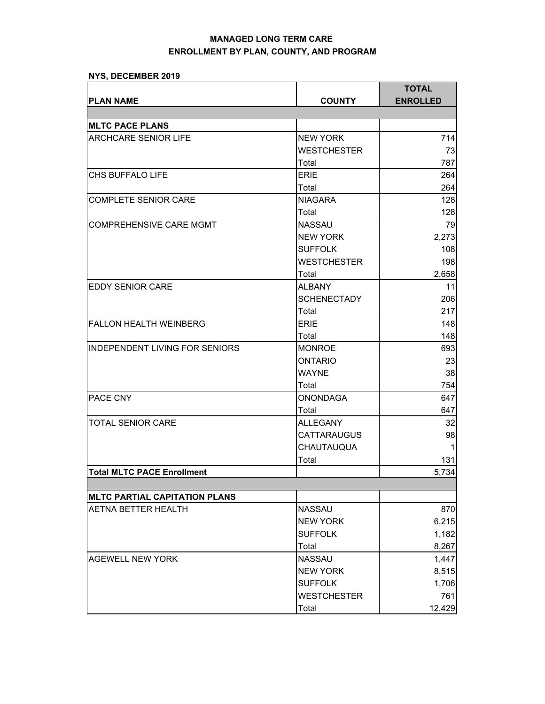|                                       |                    | <b>TOTAL</b>    |
|---------------------------------------|--------------------|-----------------|
| <b>PLAN NAME</b>                      | <b>COUNTY</b>      | <b>ENROLLED</b> |
|                                       |                    |                 |
| <b>MLTC PACE PLANS</b>                |                    |                 |
| <b>ARCHCARE SENIOR LIFE</b>           | <b>NEW YORK</b>    | 714             |
|                                       | <b>WESTCHESTER</b> | 73              |
|                                       | Total              | 787             |
| CHS BUFFALO LIFE                      | <b>FRIF</b>        | 264             |
|                                       | Total              | 264             |
| <b>COMPLETE SENIOR CARE</b>           | <b>NIAGARA</b>     | 128             |
|                                       | Total              | 128             |
| <b>COMPREHENSIVE CARE MGMT</b>        | <b>NASSAU</b>      | 79              |
|                                       | <b>NEW YORK</b>    | 2,273           |
|                                       | <b>SUFFOLK</b>     | 108             |
|                                       | <b>WESTCHESTER</b> | 198             |
|                                       | Total              | 2,658           |
| <b>EDDY SENIOR CARE</b>               | <b>ALBANY</b>      | 11              |
|                                       | <b>SCHENECTADY</b> | 206             |
|                                       | Total              | 217             |
| <b>FALLON HEALTH WEINBERG</b>         | ERIE               | 148             |
|                                       | Total              | 148             |
| <b>INDEPENDENT LIVING FOR SENIORS</b> | <b>MONROE</b>      | 693             |
|                                       | <b>ONTARIO</b>     | 23              |
|                                       | <b>WAYNE</b>       | 38              |
|                                       | Total              | 754             |
| <b>PACE CNY</b>                       | <b>ONONDAGA</b>    | 647             |
|                                       | Total              | 647             |
| TOTAL SENIOR CARE                     | <b>ALLEGANY</b>    | 32              |
|                                       | <b>CATTARAUGUS</b> | 98              |
|                                       | CHAUTAUQUA         | 1               |
|                                       | Total              | 131             |
| <b>Total MLTC PACE Enrollment</b>     |                    | 5,734           |
|                                       |                    |                 |
| <b>MLTC PARTIAL CAPITATION PLANS</b>  |                    |                 |
| AETNA BETTER HEALTH                   | <b>NASSAU</b>      | 870             |
|                                       | <b>NEW YORK</b>    | 6,215           |
|                                       | <b>SUFFOLK</b>     | 1,182           |
|                                       | Total              | 8,267           |
| <b>AGEWELL NEW YORK</b>               | <b>NASSAU</b>      | 1,447           |
|                                       | <b>NEW YORK</b>    | 8,515           |
|                                       | <b>SUFFOLK</b>     | 1,706           |
|                                       | <b>WESTCHESTER</b> | 761             |
|                                       | Total              | 12,429          |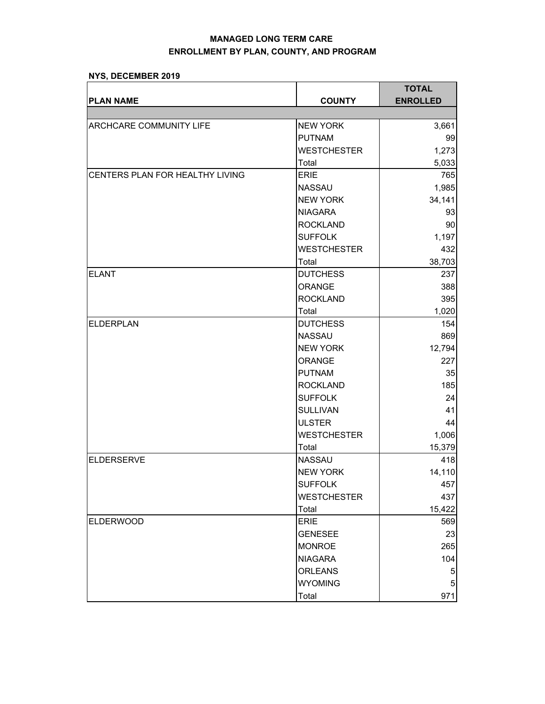|                                 |                    | <b>TOTAL</b>    |
|---------------------------------|--------------------|-----------------|
| <b>PLAN NAME</b>                | <b>COUNTY</b>      | <b>ENROLLED</b> |
|                                 |                    |                 |
| <b>ARCHCARE COMMUNITY LIFE</b>  | <b>NEW YORK</b>    | 3,661           |
|                                 | <b>PUTNAM</b>      | 99              |
|                                 | <b>WESTCHESTER</b> | 1,273           |
|                                 | Total              | 5,033           |
| CENTERS PLAN FOR HEALTHY LIVING | <b>ERIE</b>        | 765             |
|                                 | <b>NASSAU</b>      | 1,985           |
|                                 | <b>NEW YORK</b>    | 34,141          |
|                                 | <b>NIAGARA</b>     | 93              |
|                                 | <b>ROCKLAND</b>    | 90              |
|                                 | <b>SUFFOLK</b>     | 1,197           |
|                                 | <b>WESTCHESTER</b> | 432             |
|                                 | Total              | 38,703          |
| <b>ELANT</b>                    | <b>DUTCHESS</b>    | 237             |
|                                 | <b>ORANGE</b>      | 388             |
|                                 | <b>ROCKLAND</b>    | 395             |
|                                 | Total              | 1,020           |
| <b>ELDERPLAN</b>                | <b>DUTCHESS</b>    | 154             |
|                                 | <b>NASSAU</b>      | 869             |
|                                 | <b>NEW YORK</b>    | 12,794          |
|                                 | <b>ORANGE</b>      | 227             |
|                                 | <b>PUTNAM</b>      | 35              |
|                                 | <b>ROCKLAND</b>    | 185             |
|                                 | <b>SUFFOLK</b>     | 24              |
|                                 | <b>SULLIVAN</b>    | 41              |
|                                 | <b>ULSTER</b>      | 44              |
|                                 | <b>WESTCHESTER</b> | 1,006           |
|                                 | Total              | 15,379          |
| <b>ELDERSERVE</b>               | <b>NASSAU</b>      | 418             |
|                                 | <b>NEW YORK</b>    | 14,110          |
|                                 | <b>SUFFOLK</b>     | 457             |
|                                 | <b>WESTCHESTER</b> | 437             |
|                                 | Total              | 15,422          |
| <b>ELDERWOOD</b>                | ERIE               | 569             |
|                                 | <b>GENESEE</b>     | 23              |
|                                 | <b>MONROE</b>      | 265             |
|                                 | <b>NIAGARA</b>     | 104             |
|                                 | <b>ORLEANS</b>     | 5               |
|                                 | <b>WYOMING</b>     | 5               |
|                                 | Total              | 971             |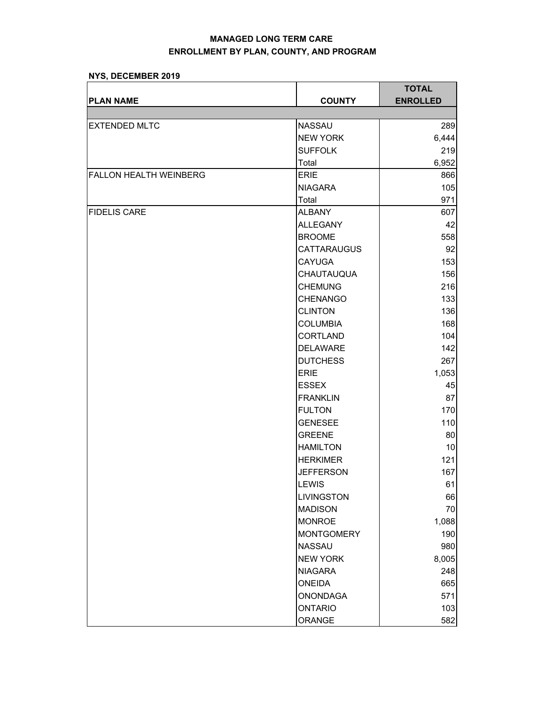|                               |                    | <b>TOTAL</b>    |
|-------------------------------|--------------------|-----------------|
| <b>IPLAN NAME</b>             | <b>COUNTY</b>      | <b>ENROLLED</b> |
|                               |                    |                 |
| EXTENDED MLTC                 | <b>NASSAU</b>      | 289             |
|                               | <b>NEW YORK</b>    | 6,444           |
|                               | <b>SUFFOLK</b>     | 219             |
|                               | Total              | 6,952           |
| <b>FALLON HEALTH WEINBERG</b> | <b>ERIE</b>        | 866             |
|                               | <b>NIAGARA</b>     | 105             |
|                               | Total              | 971             |
| <b>FIDELIS CARE</b>           | <b>ALBANY</b>      | 607             |
|                               | <b>ALLEGANY</b>    | 42              |
|                               | <b>BROOME</b>      | 558             |
|                               | <b>CATTARAUGUS</b> | 92              |
|                               | <b>CAYUGA</b>      | 153             |
|                               | <b>CHAUTAUQUA</b>  | 156             |
|                               | <b>CHEMUNG</b>     | 216             |
|                               | <b>CHENANGO</b>    | 133             |
|                               | <b>CLINTON</b>     | 136             |
|                               | <b>COLUMBIA</b>    | 168             |
|                               | <b>CORTLAND</b>    | 104             |
|                               | <b>DELAWARE</b>    | 142             |
|                               | <b>DUTCHESS</b>    | 267             |
|                               | <b>ERIE</b>        | 1,053           |
|                               | <b>ESSEX</b>       | 45              |
|                               | <b>FRANKLIN</b>    | 87              |
|                               | <b>FULTON</b>      | 170             |
|                               | <b>GENESEE</b>     | 110             |
|                               | <b>GREENE</b>      | 80              |
|                               | <b>HAMILTON</b>    | 10              |
|                               | <b>HERKIMER</b>    | 121             |
|                               | <b>JEFFERSON</b>   | 167             |
|                               | <b>LEWIS</b>       | 61              |
|                               | <b>LIVINGSTON</b>  | 66              |
|                               | <b>MADISON</b>     | 70              |
|                               | <b>MONROE</b>      | 1,088           |
|                               | <b>MONTGOMERY</b>  | 190             |
|                               | <b>NASSAU</b>      | 980             |
|                               | <b>NEW YORK</b>    | 8,005           |
|                               | <b>NIAGARA</b>     | 248             |
|                               | <b>ONEIDA</b>      | 665             |
|                               | <b>ONONDAGA</b>    | 571             |
|                               | <b>ONTARIO</b>     | 103             |
|                               | ORANGE             | 582             |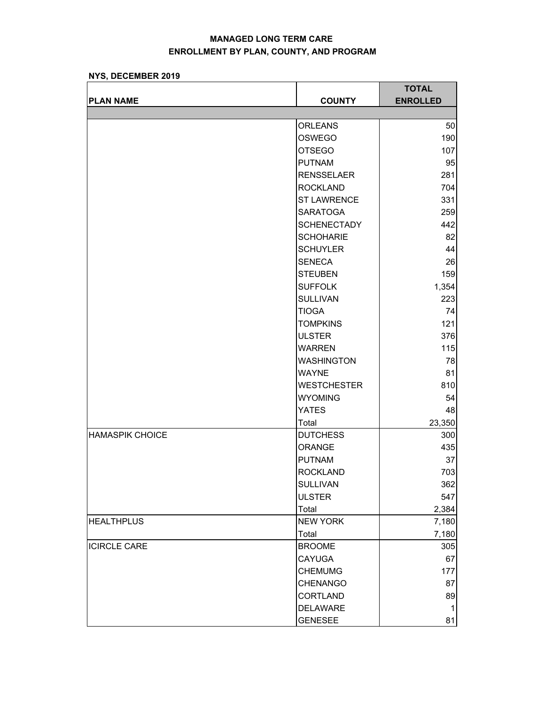| <b>PLAN NAME</b>       | <b>COUNTY</b>      | <b>TOTAL</b><br><b>ENROLLED</b> |  |
|------------------------|--------------------|---------------------------------|--|
|                        |                    |                                 |  |
|                        | <b>ORLEANS</b>     | 50                              |  |
|                        | <b>OSWEGO</b>      | 190                             |  |
|                        | <b>OTSEGO</b>      | 107                             |  |
|                        | <b>PUTNAM</b>      | 95                              |  |
|                        | <b>RENSSELAER</b>  | 281                             |  |
|                        | <b>ROCKLAND</b>    | 704                             |  |
|                        | <b>ST LAWRENCE</b> | 331                             |  |
|                        | <b>SARATOGA</b>    | 259                             |  |
|                        | <b>SCHENECTADY</b> | 442                             |  |
|                        | <b>SCHOHARIE</b>   | 82                              |  |
|                        | <b>SCHUYLER</b>    | 44                              |  |
|                        | <b>SENECA</b>      | 26                              |  |
|                        | <b>STEUBEN</b>     | 159                             |  |
|                        | <b>SUFFOLK</b>     | 1,354                           |  |
|                        | <b>SULLIVAN</b>    | 223                             |  |
|                        | <b>TIOGA</b>       | 74                              |  |
|                        | <b>TOMPKINS</b>    | 121                             |  |
|                        | <b>ULSTER</b>      | 376                             |  |
|                        | <b>WARREN</b>      | 115                             |  |
|                        | <b>WASHINGTON</b>  | 78                              |  |
|                        | <b>WAYNE</b>       | 81                              |  |
|                        | <b>WESTCHESTER</b> | 810                             |  |
|                        | <b>WYOMING</b>     | 54                              |  |
|                        | <b>YATES</b>       | 48                              |  |
|                        | Total              | 23,350                          |  |
| <b>HAMASPIK CHOICE</b> | <b>DUTCHESS</b>    | 300                             |  |
|                        | <b>ORANGE</b>      | 435                             |  |
|                        | <b>PUTNAM</b>      | 37                              |  |
|                        | <b>ROCKLAND</b>    | 703                             |  |
|                        | <b>SULLIVAN</b>    | 362                             |  |
|                        | <b>ULSTER</b>      | 547                             |  |
|                        | Total              | 2,384                           |  |
| <b>HEALTHPLUS</b>      | <b>NEW YORK</b>    | 7,180                           |  |
|                        | Total              | 7,180                           |  |
| <b>ICIRCLE CARE</b>    | <b>BROOME</b>      | 305                             |  |
|                        | CAYUGA             | 67                              |  |
|                        | <b>CHEMUMG</b>     | 177                             |  |
|                        | CHENANGO           | 87                              |  |
|                        | CORTLAND           | 89                              |  |
|                        | <b>DELAWARE</b>    | 1                               |  |
|                        | <b>GENESEE</b>     | 81                              |  |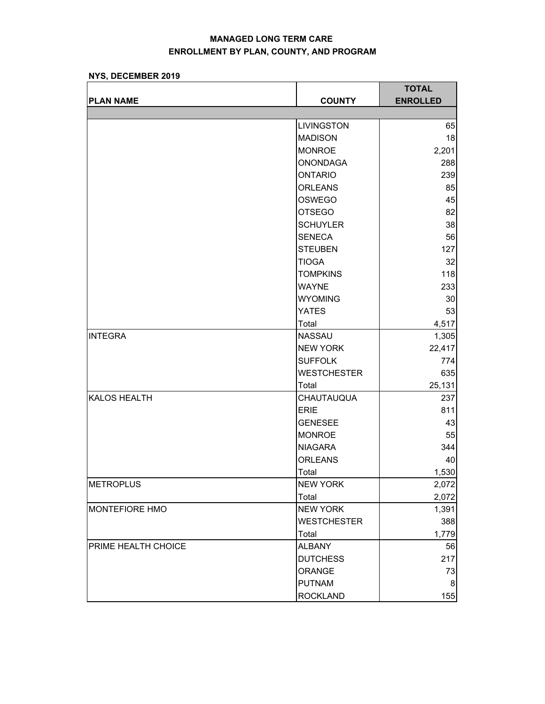|                     |                    | <b>TOTAL</b>    |  |
|---------------------|--------------------|-----------------|--|
| <b>PLAN NAME</b>    | <b>COUNTY</b>      | <b>ENROLLED</b> |  |
|                     |                    |                 |  |
|                     | <b>LIVINGSTON</b>  | 65              |  |
|                     | <b>MADISON</b>     | 18              |  |
|                     | <b>MONROE</b>      | 2,201           |  |
|                     | <b>ONONDAGA</b>    | 288             |  |
|                     | <b>ONTARIO</b>     | 239             |  |
|                     | <b>ORLEANS</b>     | 85              |  |
|                     | <b>OSWEGO</b>      | 45              |  |
|                     | <b>OTSEGO</b>      | 82              |  |
|                     | <b>SCHUYLER</b>    | 38              |  |
|                     | <b>SENECA</b>      | 56              |  |
|                     | <b>STEUBEN</b>     | 127             |  |
|                     | <b>TIOGA</b>       | 32              |  |
|                     | <b>TOMPKINS</b>    | 118             |  |
|                     | <b>WAYNE</b>       | 233             |  |
|                     | <b>WYOMING</b>     | 30              |  |
|                     | <b>YATES</b>       | 53              |  |
|                     | Total              | 4,517           |  |
| <b>INTEGRA</b>      | <b>NASSAU</b>      | 1,305           |  |
|                     | <b>NEW YORK</b>    | 22,417          |  |
|                     | <b>SUFFOLK</b>     | 774             |  |
|                     | <b>WESTCHESTER</b> | 635             |  |
|                     | Total              | 25,131          |  |
| <b>KALOS HEALTH</b> | CHAUTAUQUA         | 237             |  |
|                     | <b>ERIE</b>        | 811             |  |
|                     | <b>GENESEE</b>     | 43              |  |
|                     | <b>MONROE</b>      | 55              |  |
|                     | <b>NIAGARA</b>     | 344             |  |
|                     | <b>ORLEANS</b>     | 40              |  |
|                     | Total              | 1,530           |  |
| <b>METROPLUS</b>    | <b>NEW YORK</b>    | 2,072           |  |
|                     | Total              | 2,072           |  |
| MONTEFIORE HMO      | <b>NEW YORK</b>    | 1,391           |  |
|                     | <b>WESTCHESTER</b> | 388             |  |
|                     | Total              | 1,779           |  |
| PRIME HEALTH CHOICE | <b>ALBANY</b>      | 56              |  |
|                     | <b>DUTCHESS</b>    | 217             |  |
|                     | ORANGE             | 73              |  |
|                     | <b>PUTNAM</b>      | 8               |  |
|                     | <b>ROCKLAND</b>    | 155             |  |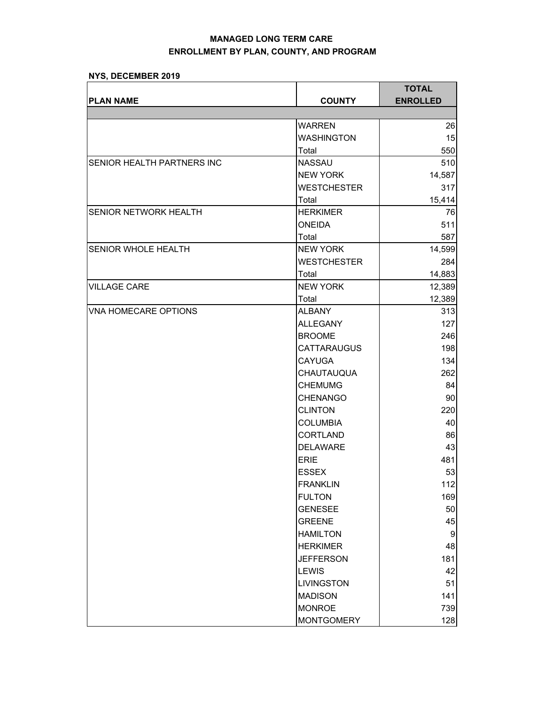|                                   |                    | <b>TOTAL</b>     |
|-----------------------------------|--------------------|------------------|
| <b>PLAN NAME</b>                  | <b>COUNTY</b>      | <b>ENROLLED</b>  |
|                                   |                    |                  |
|                                   | <b>WARREN</b>      | 26               |
|                                   | <b>WASHINGTON</b>  | 15               |
|                                   | Total              | 550              |
| <b>SENIOR HEALTH PARTNERS INC</b> | <b>NASSAU</b>      | 510              |
|                                   | <b>NEW YORK</b>    | 14,587           |
|                                   | <b>WESTCHESTER</b> | 317              |
|                                   | Total              | 15,414           |
| SENIOR NETWORK HEALTH             | <b>HERKIMER</b>    | 76               |
|                                   | <b>ONEIDA</b>      | 511              |
|                                   | Total              | 587              |
| <b>SENIOR WHOLE HEALTH</b>        | <b>NEW YORK</b>    | 14,599           |
|                                   | <b>WESTCHESTER</b> | 284              |
|                                   | Total              | 14,883           |
| <b>VILLAGE CARE</b>               | <b>NEW YORK</b>    | 12,389           |
|                                   | Total              | 12,389           |
| <b>VNA HOMECARE OPTIONS</b>       | <b>ALBANY</b>      | 313              |
|                                   | <b>ALLEGANY</b>    | 127              |
|                                   | <b>BROOME</b>      | 246              |
|                                   | <b>CATTARAUGUS</b> | 198              |
|                                   | <b>CAYUGA</b>      | 134              |
|                                   | <b>CHAUTAUQUA</b>  | 262              |
|                                   | <b>CHEMUMG</b>     | 84               |
|                                   | <b>CHENANGO</b>    | 90               |
|                                   | <b>CLINTON</b>     | 220              |
|                                   | <b>COLUMBIA</b>    | 40               |
|                                   | <b>CORTLAND</b>    | 86               |
|                                   | <b>DELAWARE</b>    | 43               |
|                                   | <b>ERIE</b>        | 481              |
|                                   | <b>ESSEX</b>       | 53               |
|                                   | <b>FRANKLIN</b>    | 112              |
|                                   | <b>FULTON</b>      | 169              |
|                                   | <b>GENESEE</b>     | 50               |
|                                   | <b>GREENE</b>      | 45               |
|                                   | <b>HAMILTON</b>    | $\boldsymbol{9}$ |
|                                   | <b>HERKIMER</b>    | 48               |
|                                   | <b>JEFFERSON</b>   | 181              |
|                                   | <b>LEWIS</b>       | 42               |
|                                   | <b>LIVINGSTON</b>  | 51               |
|                                   | <b>MADISON</b>     | 141              |
|                                   | <b>MONROE</b>      | 739              |
|                                   | <b>MONTGOMERY</b>  | 128              |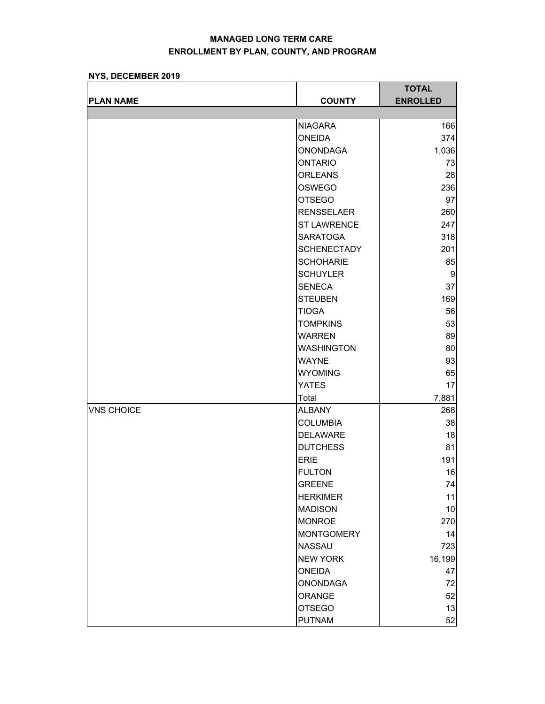|                   |                    | <b>TOTAL</b>    |  |
|-------------------|--------------------|-----------------|--|
| <b>PLAN NAME</b>  | <b>COUNTY</b>      | <b>ENROLLED</b> |  |
|                   |                    |                 |  |
|                   | <b>NIAGARA</b>     | 166             |  |
|                   | <b>ONEIDA</b>      | 374             |  |
|                   | <b>ONONDAGA</b>    | 1,036           |  |
|                   | <b>ONTARIO</b>     | 73              |  |
|                   | <b>ORLEANS</b>     | 28              |  |
|                   | <b>OSWEGO</b>      | 236             |  |
|                   | <b>OTSEGO</b>      | 97              |  |
|                   | <b>RENSSELAER</b>  | 260             |  |
|                   | <b>ST LAWRENCE</b> | 247             |  |
|                   | <b>SARATOGA</b>    | 318             |  |
|                   | <b>SCHENECTADY</b> | 201             |  |
|                   | <b>SCHOHARIE</b>   | 85              |  |
|                   | <b>SCHUYLER</b>    | 9               |  |
|                   | <b>SENECA</b>      | 37              |  |
|                   | <b>STEUBEN</b>     | 169             |  |
|                   | <b>TIOGA</b>       | 56              |  |
|                   | <b>TOMPKINS</b>    | 53              |  |
|                   | <b>WARREN</b>      | 89              |  |
|                   | <b>WASHINGTON</b>  | 80              |  |
|                   | <b>WAYNE</b>       | 93              |  |
|                   | <b>WYOMING</b>     | 65              |  |
|                   | <b>YATES</b>       | 17              |  |
|                   | Total              | 7,881           |  |
| <b>VNS CHOICE</b> | <b>ALBANY</b>      | 268             |  |
|                   | <b>COLUMBIA</b>    | 38              |  |
|                   | <b>DELAWARE</b>    | 18              |  |
|                   | <b>DUTCHESS</b>    | 81              |  |
|                   | <b>ERIE</b>        | 191             |  |
|                   | <b>FULTON</b>      | 16              |  |
|                   | <b>GREENE</b>      | 74              |  |
|                   | <b>HERKIMER</b>    | 11              |  |
|                   | <b>MADISON</b>     | 10              |  |
|                   | <b>MONROE</b>      | 270             |  |
|                   | <b>MONTGOMERY</b>  | 14              |  |
|                   | <b>NASSAU</b>      | 723             |  |
|                   | <b>NEW YORK</b>    | 16,199          |  |
|                   | <b>ONEIDA</b>      | 47              |  |
|                   | <b>ONONDAGA</b>    | 72              |  |
|                   | ORANGE             | 52              |  |
|                   | <b>OTSEGO</b>      | 13              |  |
|                   | <b>PUTNAM</b>      | 52              |  |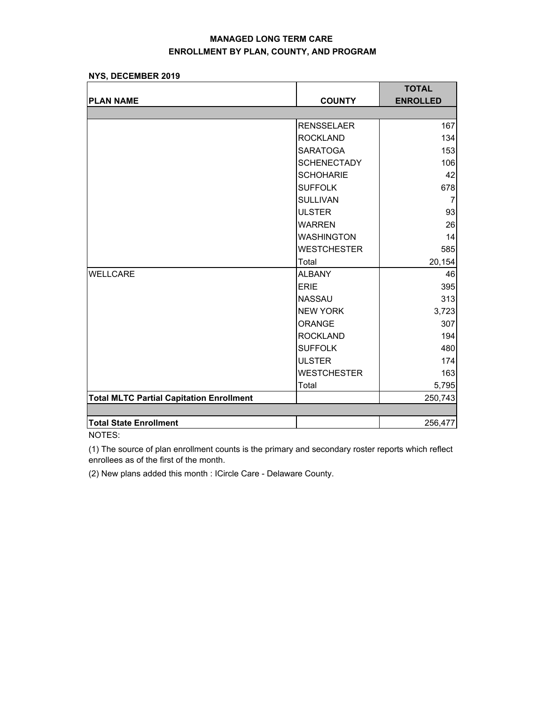**NYS, DECEMBER 2019**

|                                                 |                    | <b>TOTAL</b>    |
|-------------------------------------------------|--------------------|-----------------|
| <b>PLAN NAME</b>                                | <b>COUNTY</b>      | <b>ENROLLED</b> |
|                                                 |                    |                 |
|                                                 | <b>RENSSELAER</b>  | 167             |
|                                                 | <b>ROCKLAND</b>    | 134             |
|                                                 | <b>SARATOGA</b>    | 153             |
|                                                 | <b>SCHENECTADY</b> | 106             |
|                                                 | <b>SCHOHARIE</b>   | 42              |
|                                                 | <b>SUFFOLK</b>     | 678             |
|                                                 | <b>SULLIVAN</b>    | $\overline{7}$  |
|                                                 | <b>ULSTER</b>      | 93              |
|                                                 | <b>WARREN</b>      | 26              |
|                                                 | <b>WASHINGTON</b>  | 14              |
|                                                 | <b>WESTCHESTER</b> | 585             |
|                                                 | Total              | 20,154          |
| <b>WELLCARE</b>                                 | <b>ALBANY</b>      | 46              |
|                                                 | <b>ERIE</b>        | 395             |
|                                                 | <b>NASSAU</b>      | 313             |
|                                                 | <b>NEW YORK</b>    | 3,723           |
|                                                 | <b>ORANGE</b>      | 307             |
|                                                 | <b>ROCKLAND</b>    | 194             |
|                                                 | <b>SUFFOLK</b>     | 480             |
|                                                 | <b>ULSTER</b>      | 174             |
|                                                 | <b>WESTCHESTER</b> | 163             |
|                                                 | Total              | 5,795           |
| <b>Total MLTC Partial Capitation Enrollment</b> |                    | 250,743         |
|                                                 |                    |                 |
| <b>Total State Enrollment</b>                   |                    | 256,477         |

NOTES:

(1) The source of plan enrollment counts is the primary and secondary roster reports which reflect enrollees as of the first of the month.

(2) New plans added this month : ICircle Care - Delaware County.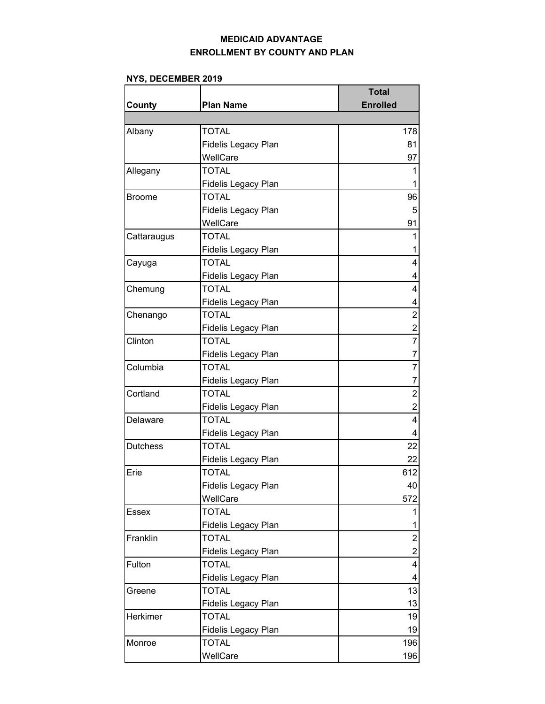## **MEDICAID ADVANTAGE ENROLLMENT BY COUNTY AND PLAN**

|                 |                     | <b>Total</b>    |
|-----------------|---------------------|-----------------|
| <b>County</b>   | <b>Plan Name</b>    | <b>Enrolled</b> |
|                 |                     |                 |
| Albany          | <b>TOTAL</b>        | 178             |
|                 | Fidelis Legacy Plan | 81              |
|                 | WellCare            | 97              |
| Allegany        | <b>TOTAL</b>        |                 |
|                 | Fidelis Legacy Plan |                 |
| <b>Broome</b>   | <b>TOTAL</b>        | 96              |
|                 | Fidelis Legacy Plan | 5               |
|                 | WellCare            | 91              |
| Cattaraugus     | <b>TOTAL</b>        | 1               |
|                 | Fidelis Legacy Plan |                 |
| Cayuga          | <b>TOTAL</b>        | 4               |
|                 | Fidelis Legacy Plan | 4               |
| Chemung         | <b>TOTAL</b>        | 4               |
|                 | Fidelis Legacy Plan | 4               |
| Chenango        | <b>TOTAL</b>        | 2               |
|                 | Fidelis Legacy Plan | 2               |
| Clinton         | <b>TOTAL</b>        | $\overline{7}$  |
|                 | Fidelis Legacy Plan | 7               |
| Columbia        | <b>TOTAL</b>        | 7               |
|                 | Fidelis Legacy Plan | 7               |
| Cortland        | <b>TOTAL</b>        | $\overline{2}$  |
|                 | Fidelis Legacy Plan | $\overline{2}$  |
| Delaware        | <b>TOTAL</b>        | 4               |
|                 | Fidelis Legacy Plan | 4               |
| <b>Dutchess</b> | <b>TOTAL</b>        | 22              |
|                 | Fidelis Legacy Plan | 22              |
| Erie            | <b>TOTAL</b>        | 612             |
|                 | Fidelis Legacy Plan | 40              |
|                 | WellCare            | 572             |
| Essex           | <b>TOTAL</b>        |                 |
|                 | Fidelis Legacy Plan |                 |
| Franklin        | <b>TOTAL</b>        | 2               |
|                 | Fidelis Legacy Plan | $\overline{c}$  |
| Fulton          | <b>TOTAL</b>        | 4               |
|                 | Fidelis Legacy Plan | 4               |
| Greene          | <b>TOTAL</b>        | 13              |
|                 | Fidelis Legacy Plan | 13              |
| Herkimer        | <b>TOTAL</b>        | 19              |
|                 | Fidelis Legacy Plan | 19              |
| Monroe          | <b>TOTAL</b>        | 196             |
|                 | WellCare            | 196             |
|                 |                     |                 |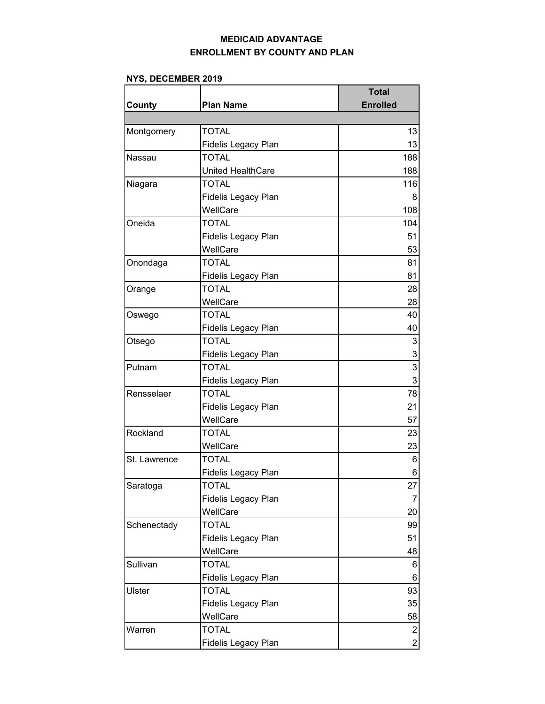## **MEDICAID ADVANTAGE ENROLLMENT BY COUNTY AND PLAN**

|              |                          | <b>Total</b>              |
|--------------|--------------------------|---------------------------|
| County       | <b>Plan Name</b>         | <b>Enrolled</b>           |
|              |                          |                           |
| Montgomery   | <b>TOTAL</b>             | 13                        |
|              | Fidelis Legacy Plan      | 13                        |
| Nassau       | <b>TOTAL</b>             | 188                       |
|              | <b>United HealthCare</b> | 188                       |
| Niagara      | <b>TOTAL</b>             | 116                       |
|              | Fidelis Legacy Plan      | 8                         |
|              | WellCare                 | 108                       |
| Oneida       | <b>TOTAL</b>             | 104                       |
|              | Fidelis Legacy Plan      | 51                        |
|              | WellCare                 | 53                        |
| Onondaga     | <b>TOTAL</b>             | 81                        |
|              | Fidelis Legacy Plan      | 81                        |
| Orange       | <b>TOTAL</b>             | 28                        |
|              | WellCare                 | 28                        |
| Oswego       | <b>TOTAL</b>             | 40                        |
|              | Fidelis Legacy Plan      | 40                        |
| Otsego       | <b>TOTAL</b>             | 3                         |
|              | Fidelis Legacy Plan      | 3                         |
| Putnam       | <b>TOTAL</b>             | 3                         |
|              | Fidelis Legacy Plan      | $\ensuremath{\mathsf{3}}$ |
| Rensselaer   | <b>TOTAL</b>             | 78                        |
|              | Fidelis Legacy Plan      | 21                        |
|              | WellCare                 | 57                        |
| Rockland     | <b>TOTAL</b>             | 23                        |
|              | WellCare                 | 23                        |
| St. Lawrence | <b>TOTAL</b>             | 6                         |
|              | Fidelis Legacy Plan      | 6                         |
| Saratoga     | <b>TOTAL</b>             | 27                        |
|              | Fidelis Legacy Plan      | $\overline{7}$            |
|              | WellCare                 | 20                        |
| Schenectady  | <b>TOTAL</b>             | 99                        |
|              | Fidelis Legacy Plan      | 51                        |
|              | WellCare                 | 48                        |
| Sullivan     | <b>TOTAL</b>             | 6                         |
|              | Fidelis Legacy Plan      | 6                         |
| Ulster       | <b>TOTAL</b>             | 93                        |
|              | Fidelis Legacy Plan      | 35                        |
|              | WellCare                 | 58                        |
| Warren       | <b>TOTAL</b>             | $\overline{\mathbf{c}}$   |
|              | Fidelis Legacy Plan      | $\overline{a}$            |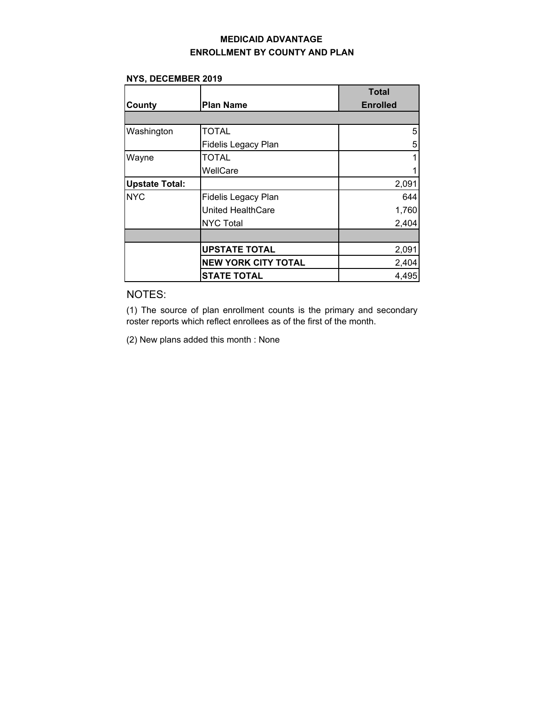## **MEDICAID ADVANTAGE ENROLLMENT BY COUNTY AND PLAN**

### **NYS, DECEMBER 2019**

|                       |                            | <b>Total</b>    |
|-----------------------|----------------------------|-----------------|
| County                | <b>Plan Name</b>           | <b>Enrolled</b> |
|                       |                            |                 |
| Washington            | <b>TOTAL</b>               | 5               |
|                       | <b>Fidelis Legacy Plan</b> | 5               |
| Wayne                 | <b>TOTAL</b>               |                 |
|                       | WellCare                   |                 |
| <b>Upstate Total:</b> |                            | 2,091           |
| <b>NYC</b>            | <b>Fidelis Legacy Plan</b> | 644             |
|                       | <b>United HealthCare</b>   | 1,760           |
|                       | <b>NYC Total</b>           | 2,404           |
|                       |                            |                 |
|                       | <b>UPSTATE TOTAL</b>       | 2,091           |
|                       | <b>NEW YORK CITY TOTAL</b> | 2,404           |
|                       | <b>STATE TOTAL</b>         | 4,495           |

# NOTES:

(1) The source of plan enrollment counts is the primary and secondary roster reports which reflect enrollees as of the first of the month.

(2) New plans added this month : None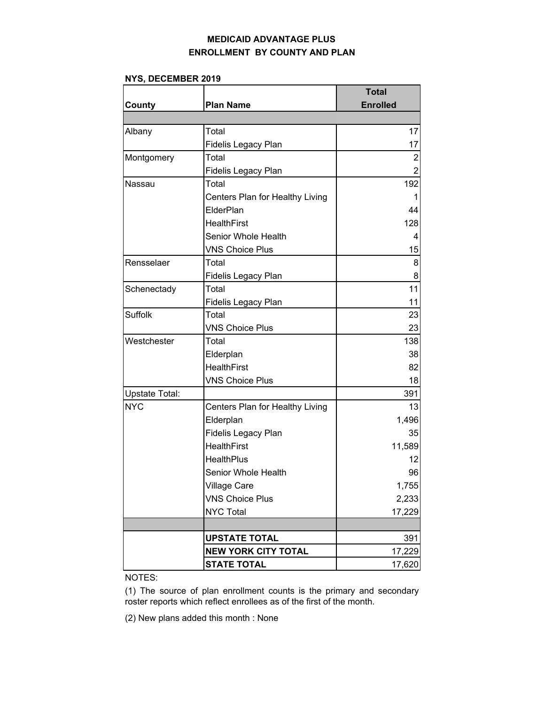# **MEDICAID ADVANTAGE PLUS ENROLLMENT BY COUNTY AND PLAN**

#### **NYS, DECEMBER 2019**

|                       |                                 | <b>Total</b>    |
|-----------------------|---------------------------------|-----------------|
| County                | <b>Plan Name</b>                | <b>Enrolled</b> |
|                       |                                 |                 |
| Albany                | Total                           | 17              |
|                       | Fidelis Legacy Plan             | 17              |
| Montgomery            | Total                           | $\overline{2}$  |
|                       | Fidelis Legacy Plan             | $\overline{2}$  |
| Nassau                | Total                           | 192             |
|                       | Centers Plan for Healthy Living |                 |
|                       | ElderPlan                       | 44              |
|                       | <b>HealthFirst</b>              | 128             |
|                       | Senior Whole Health             | 4               |
|                       | <b>VNS Choice Plus</b>          | 15              |
| Rensselaer            | Total                           | 8               |
|                       | Fidelis Legacy Plan             | 8               |
| Schenectady           | Total                           | 11              |
|                       | <b>Fidelis Legacy Plan</b>      | 11              |
| Suffolk               | Total                           | 23              |
|                       | <b>VNS Choice Plus</b>          | 23              |
| Westchester           | Total                           | 138             |
|                       | Elderplan                       | 38              |
|                       | <b>HealthFirst</b>              | 82              |
|                       | <b>VNS Choice Plus</b>          | 18              |
| <b>Upstate Total:</b> |                                 | 391             |
| <b>NYC</b>            | Centers Plan for Healthy Living | 13              |
|                       | Elderplan                       | 1,496           |
|                       | Fidelis Legacy Plan             | 35              |
|                       | <b>HealthFirst</b>              | 11,589          |
|                       | <b>HealthPlus</b>               | 12              |
|                       | Senior Whole Health             | 96              |
|                       | <b>Village Care</b>             | 1,755           |
|                       | <b>VNS Choice Plus</b>          | 2,233           |
|                       | <b>NYC Total</b>                | 17,229          |
|                       |                                 |                 |
|                       | <b>UPSTATE TOTAL</b>            | 391             |
|                       | <b>NEW YORK CITY TOTAL</b>      | 17,229          |
|                       | <b>STATE TOTAL</b>              | 17,620          |

NOTES:

(1) The source of plan enrollment counts is the primary and secondary roster reports which reflect enrollees as of the first of the month.

(2) New plans added this month : None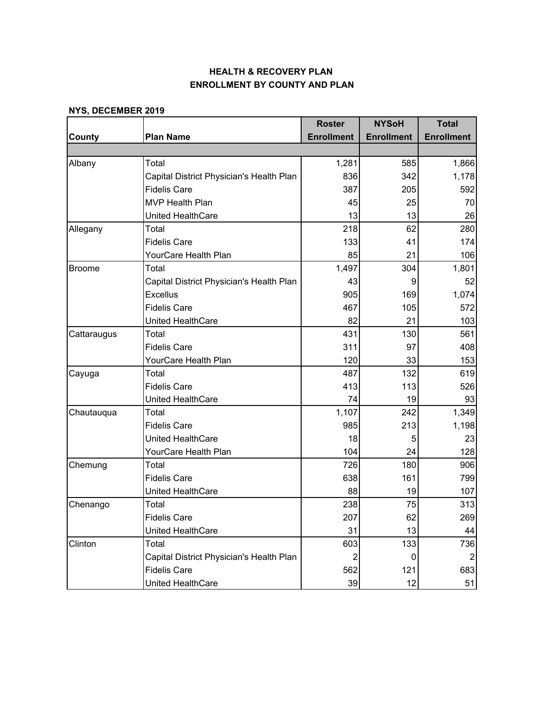|               |                                          | <b>Roster</b>     | <b>NYSoH</b>      | <b>Total</b>      |
|---------------|------------------------------------------|-------------------|-------------------|-------------------|
| County        | <b>Plan Name</b>                         | <b>Enrollment</b> | <b>Enrollment</b> | <b>Enrollment</b> |
|               |                                          |                   |                   |                   |
| Albany        | Total                                    | 1,281             | 585               | 1,866             |
|               | Capital District Physician's Health Plan | 836               | 342               | 1,178             |
|               | <b>Fidelis Care</b>                      | 387               | 205               | 592               |
|               | <b>MVP Health Plan</b>                   | 45                | 25                | 70                |
|               | United HealthCare                        | 13                | 13                | 26                |
| Allegany      | Total                                    | 218               | 62                | 280               |
|               | <b>Fidelis Care</b>                      | 133               | 41                | 174               |
|               | YourCare Health Plan                     | 85                | 21                | 106               |
| <b>Broome</b> | Total                                    | 1,497             | 304               | 1,801             |
|               | Capital District Physician's Health Plan | 43                | 9                 | 52                |
|               | <b>Excellus</b>                          | 905               | 169               | 1,074             |
|               | <b>Fidelis Care</b>                      | 467               | 105               | 572               |
|               | <b>United HealthCare</b>                 | 82                | 21                | 103               |
| Cattaraugus   | Total                                    | 431               | 130               | 561               |
|               | <b>Fidelis Care</b>                      | 311               | 97                | 408               |
|               | YourCare Health Plan                     | 120               | 33                | 153               |
| Cayuga        | Total                                    | 487               | 132               | 619               |
|               | <b>Fidelis Care</b>                      | 413               | 113               | 526               |
|               | United HealthCare                        | 74                | 19                | 93                |
| Chautauqua    | Total                                    | 1,107             | 242               | 1,349             |
|               | <b>Fidelis Care</b>                      | 985               | 213               | 1,198             |
|               | <b>United HealthCare</b>                 | 18                | 5                 | 23                |
|               | YourCare Health Plan                     | 104               | 24                | 128               |
| Chemung       | Total                                    | 726               | 180               | 906               |
|               | <b>Fidelis Care</b>                      | 638               | 161               | 799               |
|               | <b>United HealthCare</b>                 | 88                | 19                | 107               |
| Chenango      | Total                                    | 238               | 75                | 313               |
|               | <b>Fidelis Care</b>                      | 207               | 62                | 269               |
|               | United HealthCare                        | 31                | 13                | 44                |
| Clinton       | Total                                    | 603               | 133               | 736               |
|               | Capital District Physician's Health Plan | $\overline{2}$    | 0                 | $\overline{2}$    |
|               | <b>Fidelis Care</b>                      | 562               | 121               | 683               |
|               | United HealthCare                        | 39                | 12                | 51                |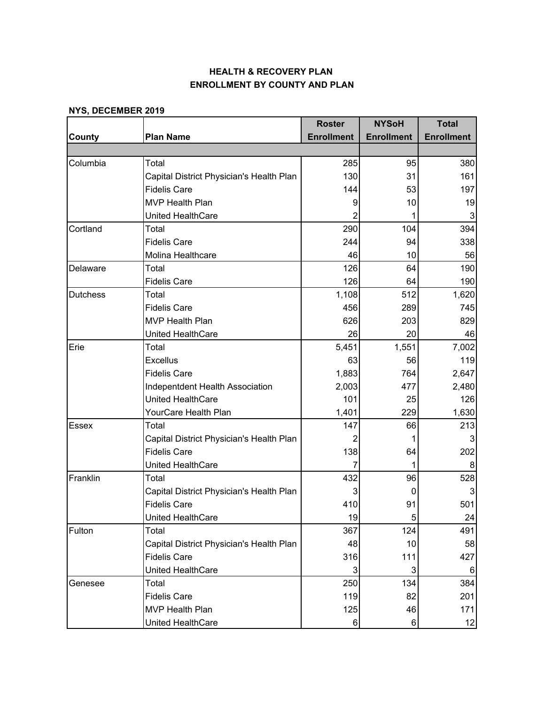|                 |                                          | <b>Roster</b>     | <b>NYSoH</b>      | <b>Total</b>      |
|-----------------|------------------------------------------|-------------------|-------------------|-------------------|
| County          | <b>Plan Name</b>                         | <b>Enrollment</b> | <b>Enrollment</b> | <b>Enrollment</b> |
|                 |                                          |                   |                   |                   |
| Columbia        | Total                                    | 285               | 95                | 380               |
|                 | Capital District Physician's Health Plan | 130               | 31                | 161               |
|                 | <b>Fidelis Care</b>                      | 144               | 53                | 197               |
|                 | <b>MVP Health Plan</b>                   | 9                 | 10                | 19                |
|                 | United HealthCare                        | 2                 |                   | 3                 |
| Cortland        | Total                                    | 290               | 104               | 394               |
|                 | <b>Fidelis Care</b>                      | 244               | 94                | 338               |
|                 | Molina Healthcare                        | 46                | 10                | 56                |
| Delaware        | Total                                    | 126               | 64                | 190               |
|                 | <b>Fidelis Care</b>                      | 126               | 64                | 190               |
| <b>Dutchess</b> | Total                                    | 1,108             | 512               | 1,620             |
|                 | <b>Fidelis Care</b>                      | 456               | 289               | 745               |
|                 | <b>MVP Health Plan</b>                   | 626               | 203               | 829               |
|                 | United HealthCare                        | 26                | 20                | 46                |
| Erie            | Total                                    | 5,451             | 1,551             | 7,002             |
|                 | <b>Excellus</b>                          | 63                | 56                | 119               |
|                 | <b>Fidelis Care</b>                      | 1,883             | 764               | 2,647             |
|                 | Indepentdent Health Association          | 2,003             | 477               | 2,480             |
|                 | United HealthCare                        | 101               | 25                | 126               |
|                 | YourCare Health Plan                     | 1,401             | 229               | 1,630             |
| <b>Essex</b>    | Total                                    | 147               | 66                | 213               |
|                 | Capital District Physician's Health Plan | 2                 | 1                 | 3                 |
|                 | <b>Fidelis Care</b>                      | 138               | 64                | 202               |
|                 | United HealthCare                        | 7                 | 1                 | 8                 |
| Franklin        | Total                                    | 432               | 96                | 528               |
|                 | Capital District Physician's Health Plan | 3                 | 0                 | 3                 |
|                 | <b>Fidelis Care</b>                      | 410               | 91                | 501               |
|                 | United HealthCare                        | 19                | 5                 | 24                |
| Fulton          | Total                                    | 367               | 124               | 491               |
|                 | Capital District Physician's Health Plan | 48                | 10                | 58                |
|                 | <b>Fidelis Care</b>                      | 316               | 111               | 427               |
|                 | United HealthCare                        | 3                 | 3                 | 6                 |
| Genesee         | Total                                    | 250               | 134               | 384               |
|                 | <b>Fidelis Care</b>                      | 119               | 82                | 201               |
|                 | <b>MVP Health Plan</b>                   | 125               | 46                | 171               |
|                 | United HealthCare                        | 6                 | 6                 | 12                |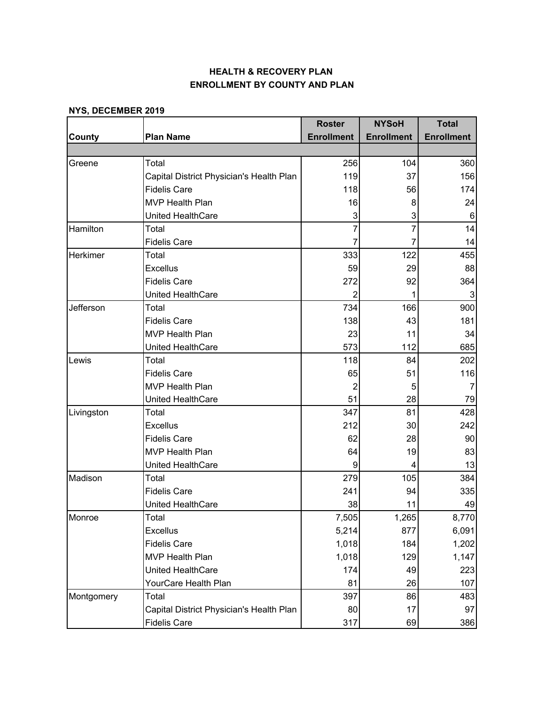|            |                                          | <b>Roster</b>     | <b>NYSoH</b>      | <b>Total</b>      |
|------------|------------------------------------------|-------------------|-------------------|-------------------|
| County     | <b>Plan Name</b>                         | <b>Enrollment</b> | <b>Enrollment</b> | <b>Enrollment</b> |
|            |                                          |                   |                   |                   |
| Greene     | Total                                    | 256               | 104               | 360               |
|            | Capital District Physician's Health Plan | 119               | 37                | 156               |
|            | <b>Fidelis Care</b>                      | 118               | 56                | 174               |
|            | MVP Health Plan                          | 16                | 8                 | 24                |
|            | United HealthCare                        | 3                 | 3                 | 6                 |
| Hamilton   | Total                                    | 7                 | 7                 | 14                |
|            | <b>Fidelis Care</b>                      | 7                 | 7                 | 14                |
| Herkimer   | Total                                    | 333               | 122               | 455               |
|            | <b>Excellus</b>                          | 59                | 29                | 88                |
|            | <b>Fidelis Care</b>                      | 272               | 92                | 364               |
|            | United HealthCare                        | 2                 | 1                 | 3                 |
| Jefferson  | Total                                    | 734               | 166               | 900               |
|            | <b>Fidelis Care</b>                      | 138               | 43                | 181               |
|            | MVP Health Plan                          | 23                | 11                | 34                |
|            | United HealthCare                        | 573               | 112               | 685               |
| Lewis      | Total                                    | 118               | 84                | 202               |
|            | <b>Fidelis Care</b>                      | 65                | 51                | 116               |
|            | MVP Health Plan                          | $\overline{c}$    | 5                 | 7                 |
|            | United HealthCare                        | 51                | 28                | 79                |
| Livingston | Total                                    | 347               | 81                | 428               |
|            | <b>Excellus</b>                          | 212               | 30                | 242               |
|            | <b>Fidelis Care</b>                      | 62                | 28                | 90                |
|            | <b>MVP Health Plan</b>                   | 64                | 19                | 83                |
|            | United HealthCare                        | 9                 | 4                 | 13                |
| Madison    | Total                                    | 279               | 105               | 384               |
|            | <b>Fidelis Care</b>                      | 241               | 94                | 335               |
|            | <b>United HealthCare</b>                 | 38                | 11                | 49                |
| Monroe     | Total                                    | 7,505             | 1,265             | 8,770             |
|            | <b>Excellus</b>                          | 5,214             | 877               | 6,091             |
|            | <b>Fidelis Care</b>                      | 1,018             | 184               | 1,202             |
|            | MVP Health Plan                          | 1,018             | 129               | 1,147             |
|            | United HealthCare                        | 174               | 49                | 223               |
|            | YourCare Health Plan                     | 81                | 26                | 107               |
| Montgomery | Total                                    | 397               | 86                | 483               |
|            | Capital District Physician's Health Plan | 80                | 17                | 97                |
|            | <b>Fidelis Care</b>                      | 317               | 69                | 386               |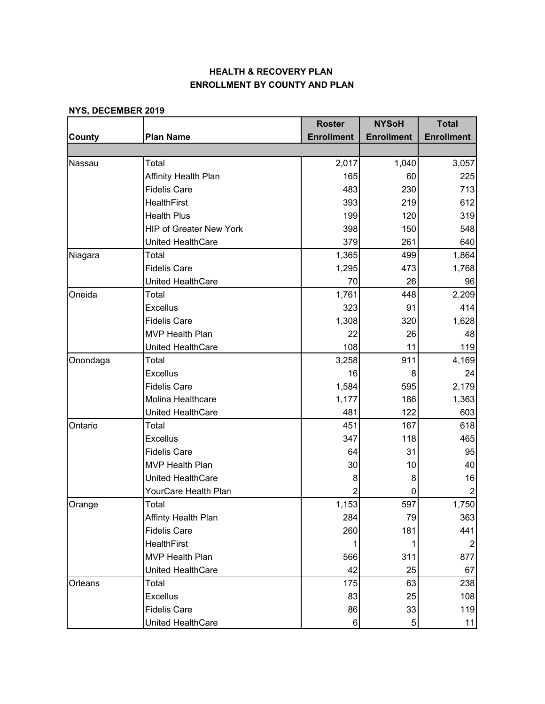|          |                                | <b>Roster</b>     | <b>NYSoH</b>      | <b>Total</b>      |
|----------|--------------------------------|-------------------|-------------------|-------------------|
| County   | <b>Plan Name</b>               | <b>Enrollment</b> | <b>Enrollment</b> | <b>Enrollment</b> |
|          |                                |                   |                   |                   |
| Nassau   | Total                          | 2,017             | 1,040             | 3,057             |
|          | Affinity Health Plan           | 165               | 60                | 225               |
|          | <b>Fidelis Care</b>            | 483               | 230               | 713               |
|          | <b>HealthFirst</b>             | 393               | 219               | 612               |
|          | <b>Health Plus</b>             | 199               | 120               | 319               |
|          | <b>HIP of Greater New York</b> | 398               | 150               | 548               |
|          | United HealthCare              | 379               | 261               | 640               |
| Niagara  | Total                          | 1,365             | 499               | 1,864             |
|          | <b>Fidelis Care</b>            | 1,295             | 473               | 1,768             |
|          | United HealthCare              | 70                | 26                | 96                |
| Oneida   | Total                          | 1,761             | 448               | 2,209             |
|          | <b>Excellus</b>                | 323               | 91                | 414               |
|          | <b>Fidelis Care</b>            | 1,308             | 320               | 1,628             |
|          | <b>MVP Health Plan</b>         | 22                | 26                | 48                |
|          | United HealthCare              | 108               | 11                | 119               |
| Onondaga | Total                          | 3,258             | 911               | 4,169             |
|          | <b>Excellus</b>                | 16                | 8                 | 24                |
|          | <b>Fidelis Care</b>            | 1,584             | 595               | 2,179             |
|          | Molina Healthcare              | 1,177             | 186               | 1,363             |
|          | United HealthCare              | 481               | 122               | 603               |
| Ontario  | Total                          | 451               | 167               | 618               |
|          | <b>Excellus</b>                | 347               | 118               | 465               |
|          | <b>Fidelis Care</b>            | 64                | 31                | 95                |
|          | <b>MVP Health Plan</b>         | 30                | 10                | 40                |
|          | United HealthCare              | 8                 | 8                 | 16                |
|          | YourCare Health Plan           | 2                 | 0                 | 2                 |
| Orange   | Total                          | 1,153             | 597               | 1,750             |
|          | Affinty Health Plan            | 284               | 79                | 363               |
|          | <b>Fidelis Care</b>            | 260               | 181               | 441               |
|          | <b>HealthFirst</b>             | 1                 |                   | 2                 |
|          | MVP Health Plan                | 566               | 311               | 877               |
|          | United HealthCare              | 42                | 25                | 67                |
| Orleans  | Total                          | 175               | 63                | 238               |
|          | <b>Excellus</b>                | 83                | 25                | 108               |
|          | <b>Fidelis Care</b>            | 86                | 33                | 119               |
|          | United HealthCare              | $\,6$             | $\sqrt{5}$        | 11                |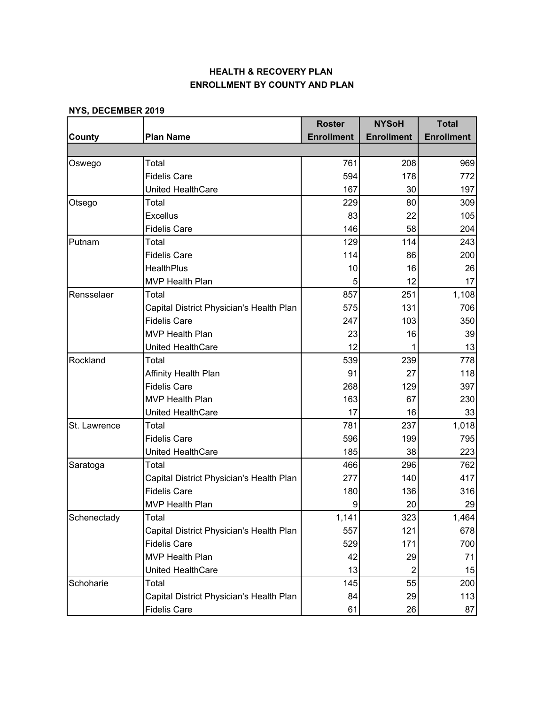|              |                                          | <b>Roster</b>     | <b>NYSoH</b>      | <b>Total</b>      |
|--------------|------------------------------------------|-------------------|-------------------|-------------------|
| County       | <b>Plan Name</b>                         | <b>Enrollment</b> | <b>Enrollment</b> | <b>Enrollment</b> |
|              |                                          |                   |                   |                   |
| Oswego       | Total                                    | 761               | 208               | 969               |
|              | <b>Fidelis Care</b>                      | 594               | 178               | 772               |
|              | United HealthCare                        | 167               | 30                | 197               |
| Otsego       | Total                                    | 229               | 80                | 309               |
|              | <b>Excellus</b>                          | 83                | 22                | 105               |
|              | <b>Fidelis Care</b>                      | 146               | 58                | 204               |
| Putnam       | Total                                    | 129               | 114               | 243               |
|              | <b>Fidelis Care</b>                      | 114               | 86                | 200               |
|              | <b>HealthPlus</b>                        | 10                | 16                | 26                |
|              | <b>MVP Health Plan</b>                   | 5                 | 12                | 17                |
| Rensselaer   | Total                                    | 857               | 251               | 1,108             |
|              | Capital District Physician's Health Plan | 575               | 131               | 706               |
|              | <b>Fidelis Care</b>                      | 247               | 103               | 350               |
|              | <b>MVP Health Plan</b>                   | 23                | 16                | 39                |
|              | United HealthCare                        | 12                |                   | 13                |
| Rockland     | Total                                    | 539               | 239               | 778               |
|              | Affinity Health Plan                     | 91                | 27                | 118               |
|              | <b>Fidelis Care</b>                      | 268               | 129               | 397               |
|              | <b>MVP Health Plan</b>                   | 163               | 67                | 230               |
|              | United HealthCare                        | 17                | 16                | 33                |
| St. Lawrence | Total                                    | 781               | 237               | 1,018             |
|              | <b>Fidelis Care</b>                      | 596               | 199               | 795               |
|              | <b>United HealthCare</b>                 | 185               | 38                | 223               |
| Saratoga     | Total                                    | 466               | 296               | 762               |
|              | Capital District Physician's Health Plan | 277               | 140               | 417               |
|              | <b>Fidelis Care</b>                      | 180               | 136               | 316               |
|              | MVP Health Plan                          | 9                 | 20                | 29                |
| Schenectady  | Total                                    | 1,141             | 323               | 1,464             |
|              | Capital District Physician's Health Plan | 557               | 121               | 678               |
|              | <b>Fidelis Care</b>                      | 529               | 171               | 700               |
|              | MVP Health Plan                          | 42                | 29                | 71                |
|              | United HealthCare                        | 13                | $\overline{c}$    | 15                |
| Schoharie    | Total                                    | 145               | 55                | 200               |
|              | Capital District Physician's Health Plan | 84                | 29                | 113               |
|              | <b>Fidelis Care</b>                      | 61                | 26                | 87                |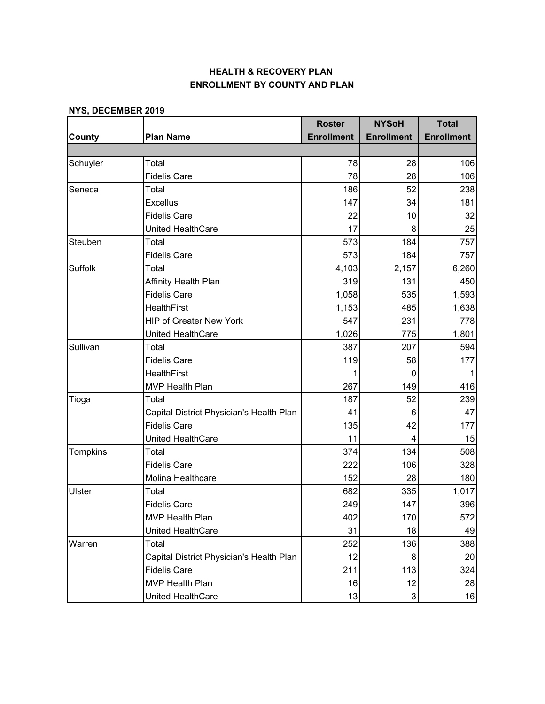|                 |                                          | <b>Roster</b>     | <b>NYSoH</b>      | <b>Total</b>      |
|-----------------|------------------------------------------|-------------------|-------------------|-------------------|
| County          | <b>Plan Name</b>                         | <b>Enrollment</b> | <b>Enrollment</b> | <b>Enrollment</b> |
|                 |                                          |                   |                   |                   |
| Schuyler        | Total                                    | 78                | 28                | 106               |
|                 | <b>Fidelis Care</b>                      | 78                | 28                | 106               |
| Seneca          | Total                                    | 186               | 52                | 238               |
|                 | <b>Excellus</b>                          | 147               | 34                | 181               |
|                 | <b>Fidelis Care</b>                      | 22                | 10                | 32                |
|                 | <b>United HealthCare</b>                 | 17                | 8                 | 25                |
| Steuben         | Total                                    | 573               | 184               | 757               |
|                 | <b>Fidelis Care</b>                      | 573               | 184               | 757               |
| <b>Suffolk</b>  | Total                                    | 4,103             | 2,157             | 6,260             |
|                 | Affinity Health Plan                     | 319               | 131               | 450               |
|                 | <b>Fidelis Care</b>                      | 1,058             | 535               | 1,593             |
|                 | <b>HealthFirst</b>                       | 1,153             | 485               | 1,638             |
|                 | <b>HIP of Greater New York</b>           | 547               | 231               | 778               |
|                 | United HealthCare                        | 1,026             | 775               | 1,801             |
| Sullivan        | Total                                    | 387               | 207               | 594               |
|                 | <b>Fidelis Care</b>                      | 119               | 58                | 177               |
|                 | <b>HealthFirst</b>                       | 1                 | $\mathbf 0$       | 1                 |
|                 | <b>MVP Health Plan</b>                   | 267               | 149               | 416               |
| Tioga           | Total                                    | 187               | 52                | 239               |
|                 | Capital District Physician's Health Plan | 41                | 6                 | 47                |
|                 | <b>Fidelis Care</b>                      | 135               | 42                | 177               |
|                 | United HealthCare                        | 11                | 4                 | 15                |
| <b>Tompkins</b> | Total                                    | 374               | 134               | 508               |
|                 | <b>Fidelis Care</b>                      | 222               | 106               | 328               |
|                 | Molina Healthcare                        | 152               | 28                | 180               |
| Ulster          | Total                                    | 682               | 335               | 1,017             |
|                 | <b>Fidelis Care</b>                      | 249               | 147               | 396               |
|                 | <b>MVP Health Plan</b>                   | 402               | 170               | 572               |
|                 | United HealthCare                        | 31                | 18                | 49                |
| Warren          | Total                                    | 252               | 136               | 388               |
|                 | Capital District Physician's Health Plan | 12                | 8                 | 20                |
|                 | <b>Fidelis Care</b>                      | 211               | 113               | 324               |
|                 | <b>MVP Health Plan</b>                   | 16                | 12                | 28                |
|                 | United HealthCare                        | 13                | 3 <sup>1</sup>    | 16                |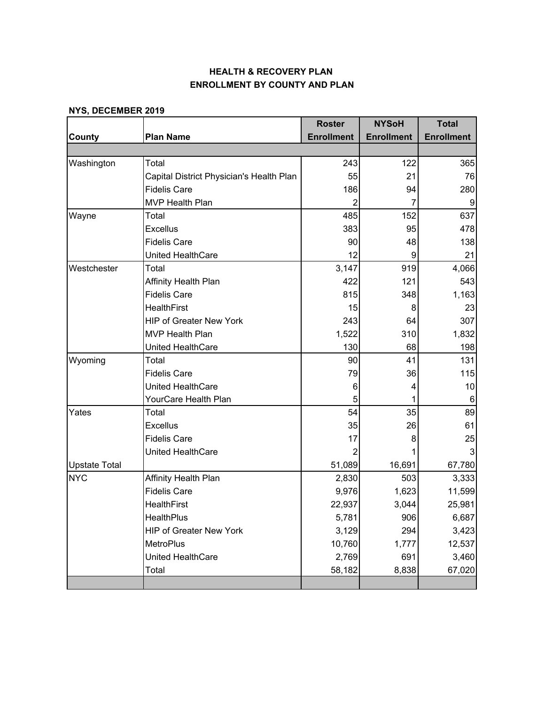|                      |                                          | <b>Roster</b>     | <b>NYSoH</b>      | <b>Total</b>      |
|----------------------|------------------------------------------|-------------------|-------------------|-------------------|
| County               | <b>Plan Name</b>                         | <b>Enrollment</b> | <b>Enrollment</b> | <b>Enrollment</b> |
|                      |                                          |                   |                   |                   |
| Washington           | Total                                    | 243               | 122               | 365               |
|                      | Capital District Physician's Health Plan | 55                | 21                | 76                |
|                      | <b>Fidelis Care</b>                      | 186               | 94                | 280               |
|                      | <b>MVP Health Plan</b>                   | $\overline{2}$    |                   | 9                 |
| Wayne                | Total                                    | 485               | 152               | 637               |
|                      | <b>Excellus</b>                          | 383               | 95                | 478               |
|                      | <b>Fidelis Care</b>                      | 90                | 48                | 138               |
|                      | United HealthCare                        | 12                | 9                 | 21                |
| Westchester          | Total                                    | 3,147             | 919               | 4,066             |
|                      | Affinity Health Plan                     | 422               | 121               | 543               |
|                      | <b>Fidelis Care</b>                      | 815               | 348               | 1,163             |
|                      | <b>HealthFirst</b>                       | 15                | 8                 | 23                |
|                      | <b>HIP of Greater New York</b>           | 243               | 64                | 307               |
|                      | <b>MVP Health Plan</b>                   | 1,522             | 310               | 1,832             |
|                      | United HealthCare                        | 130               | 68                | 198               |
| Wyoming              | Total                                    | 90                | 41                | 131               |
|                      | <b>Fidelis Care</b>                      | 79                | 36                | 115               |
|                      | United HealthCare                        | 6                 | 4                 | 10                |
|                      | YourCare Health Plan                     | 5                 |                   | 6                 |
| Yates                | Total                                    | 54                | 35                | 89                |
|                      | <b>Excellus</b>                          | 35                | 26                | 61                |
|                      | <b>Fidelis Care</b>                      | 17                | 8                 | 25                |
|                      | United HealthCare                        | 2                 |                   | 3                 |
| <b>Upstate Total</b> |                                          | 51,089            | 16,691            | 67,780            |
| <b>NYC</b>           | Affinity Health Plan                     | 2,830             | 503               | 3,333             |
|                      | <b>Fidelis Care</b>                      | 9,976             | 1,623             | 11,599            |
|                      | <b>HealthFirst</b>                       | 22,937            | 3,044             | 25,981            |
|                      | HealthPlus                               | 5,781             | 906               | 6,687             |
|                      | HIP of Greater New York                  | 3,129             | 294               | 3,423             |
|                      | <b>MetroPlus</b>                         | 10,760            | 1,777             | 12,537            |
|                      | United HealthCare                        | 2,769             | 691               | 3,460             |
|                      | Total                                    | 58,182            | 8,838             | 67,020            |
|                      |                                          |                   |                   |                   |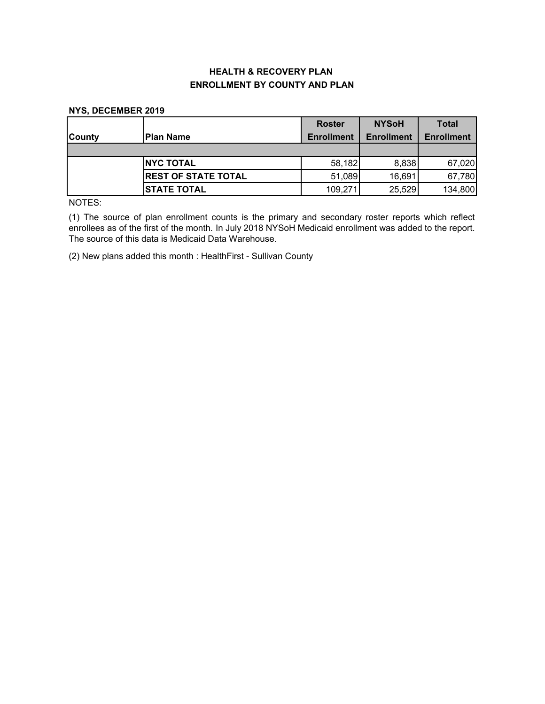#### **NYS, DECEMBER 2019**

|               |                            | <b>Roster</b>     | <b>NYSoH</b>      | <b>Total</b>      |
|---------------|----------------------------|-------------------|-------------------|-------------------|
| <b>County</b> | lPlan Name                 | <b>Enrollment</b> | <b>Enrollment</b> | <b>Enrollment</b> |
|               |                            |                   |                   |                   |
|               | <b>INYC TOTAL</b>          | 58,182            | 8,838             | 67,020            |
|               | <b>REST OF STATE TOTAL</b> | 51,089            | 16,691            | 67,780            |
|               | <b>STATE TOTAL</b>         | 109,271           | 25,529            | 134,800           |

NOTES:

(1) The source of plan enrollment counts is the primary and secondary roster reports which reflect enrollees as of the first of the month. In July 2018 NYSoH Medicaid enrollment was added to the report. The source of this data is Medicaid Data Warehouse.

(2) New plans added this month : HealthFirst - Sullivan County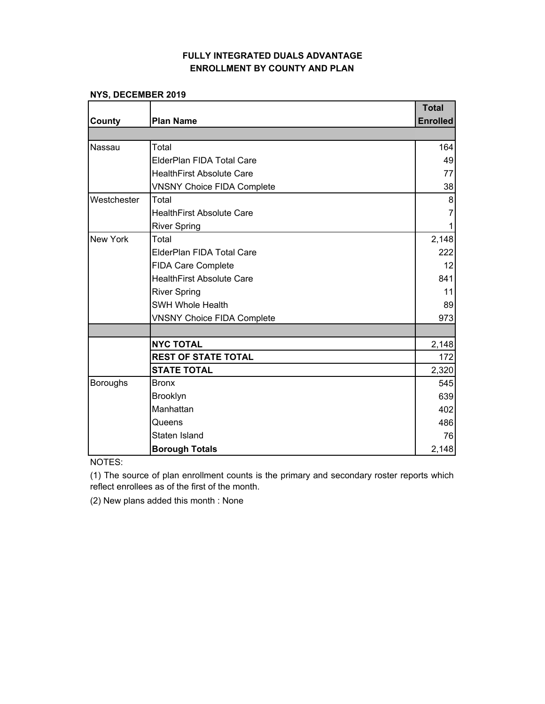## **FULLY INTEGRATED DUALS ADVANTAGE ENROLLMENT BY COUNTY AND PLAN**

## **NYS, DECEMBER 2019**

|                 |                                   | <b>Total</b>    |
|-----------------|-----------------------------------|-----------------|
| County          | <b>Plan Name</b>                  | <b>Enrolled</b> |
|                 |                                   |                 |
| Nassau          | Total                             | 164             |
|                 | ElderPlan FIDA Total Care         | 49              |
|                 | <b>HealthFirst Absolute Care</b>  | 77              |
|                 | <b>VNSNY Choice FIDA Complete</b> | 38              |
| Westchester     | Total                             | 8               |
|                 | <b>HealthFirst Absolute Care</b>  | $\overline{7}$  |
|                 | <b>River Spring</b>               | $\mathbf{1}$    |
| New York        | Total                             | 2,148           |
|                 | ElderPlan FIDA Total Care         | 222             |
|                 | <b>FIDA Care Complete</b>         | 12              |
|                 | <b>HealthFirst Absolute Care</b>  | 841             |
|                 | <b>River Spring</b>               | 11              |
|                 | SWH Whole Health                  | 89              |
|                 | <b>VNSNY Choice FIDA Complete</b> | 973             |
|                 |                                   |                 |
|                 | <b>NYC TOTAL</b>                  | 2,148           |
|                 | <b>REST OF STATE TOTAL</b>        | 172             |
|                 | <b>STATE TOTAL</b>                | 2,320           |
| <b>Boroughs</b> | <b>Bronx</b>                      | 545             |
|                 | <b>Brooklyn</b>                   | 639             |
|                 | Manhattan                         | 402             |
|                 | Queens                            | 486             |
|                 | Staten Island                     | 76              |
|                 | <b>Borough Totals</b>             | 2,148           |

NOTES:

(1) The source of plan enrollment counts is the primary and secondary roster reports which reflect enrollees as of the first of the month.

(2) New plans added this month : None